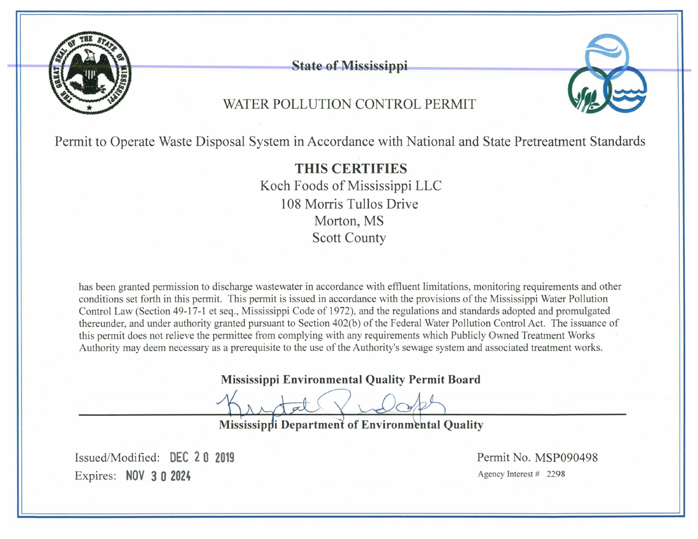

**State of Mississippi** 

# WATER POLLUTION CONTROL PERMIT

Permit to Operate Waste Disposal System in Accordance with National and State Pretreatment Standards

**THIS CERTIFIES** Koch Foods of Mississippi LLC 108 Morris Tullos Drive Morton, MS **Scott County** 

has been granted permission to discharge wastewater in accordance with effluent limitations, monitoring requirements and other conditions set forth in this permit. This permit is issued in accordance with the provisions of the Mississippi Water Pollution Control Law (Section 49-17-1 et seq., Mississippi Code of 1972), and the regulations and standards adopted and promulgated thereunder, and under authority granted pursuant to Section 402(b) of the Federal Water Pollution Control Act. The issuance of this permit does not relieve the permittee from complying with any requirements which Publicly Owned Treatment Works Authority may deem necessary as a prerequisite to the use of the Authority's sewage system and associated treatment works.

**Mississippi Environmental Quality Permit Board** 

Mississippi Department of Environmental Quality

Issued/Modified: DEC 2.0 2019 Expires: NOV 3 0 2024

Permit No. MSP090498 Agency Interest # 2298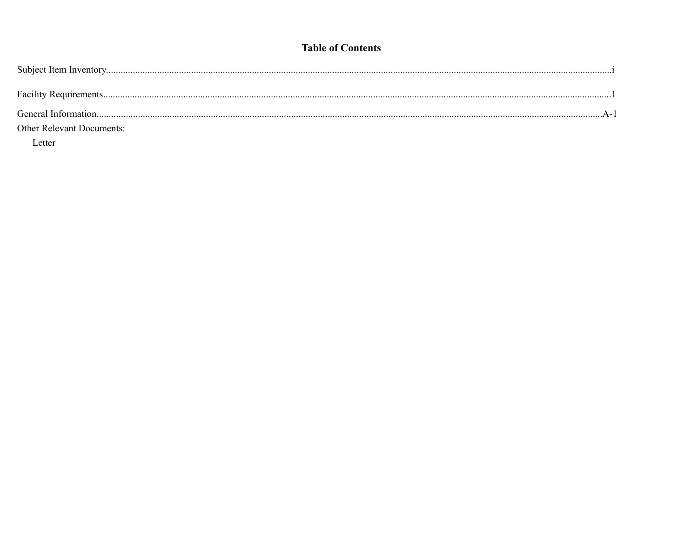## **Table of Contents**

| <b>Other Relevant Documents:</b> |  |
|----------------------------------|--|

Letter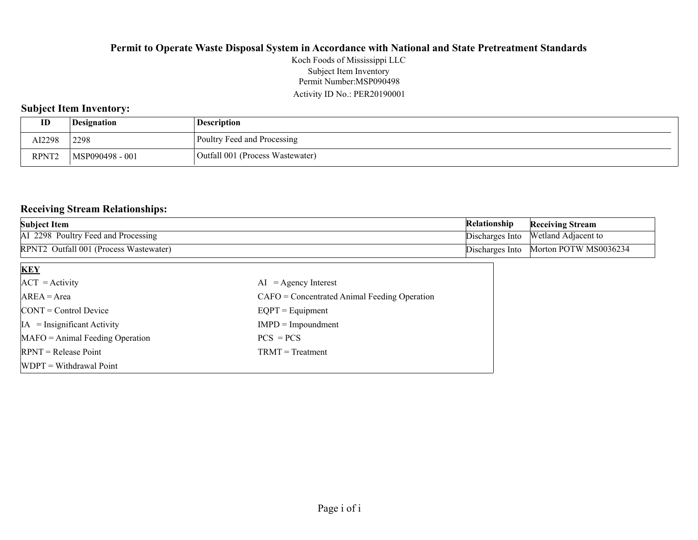Permit Number:MSP090498 Activity ID No.: PER20190001 Koch Foods of Mississippi LLC Subject Item Inventory

## **Subject Item Inventory:**

| ID                | Designation     | <b>Description</b>               |
|-------------------|-----------------|----------------------------------|
| AI2298            | 2298            | Poultry Feed and Processing      |
| RPNT <sub>2</sub> | MSP090498 - 001 | Outfall 001 (Process Wastewater) |

#### **Receiving Stream Relationships:**

| <b>Subject Item</b>                                | <b>Relationship</b> | <b>Receiving Stream</b>             |
|----------------------------------------------------|---------------------|-------------------------------------|
| AI 2298 Poultry Feed and Processing                |                     | Discharges Into Wetland Adjacent to |
| RPNT <sub>2</sub> Outfall 001 (Process Wastewater) | Discharges Into     | Morton POTW MS0036234               |

| <b>KEY</b>                            |                                                |
|---------------------------------------|------------------------------------------------|
| $ACT = Activity$                      | $AI = Agency Interest$                         |
| $AREA = Area$                         | $CAFO =$ Concentrated Animal Feeding Operation |
| $\text{CONT} = \text{Control Device}$ | $EQPT = Equipment$                             |
| $IA = Insignificant Activity$         | $IMPD = Impoundment$                           |
| $MAFO = Animal Feeding Operation$     | $PCS = PCs$                                    |
| $RPNT = Release Point$                | $TRMT = Treatment$                             |
| $WDPT = Without$ Withdrawal Point     |                                                |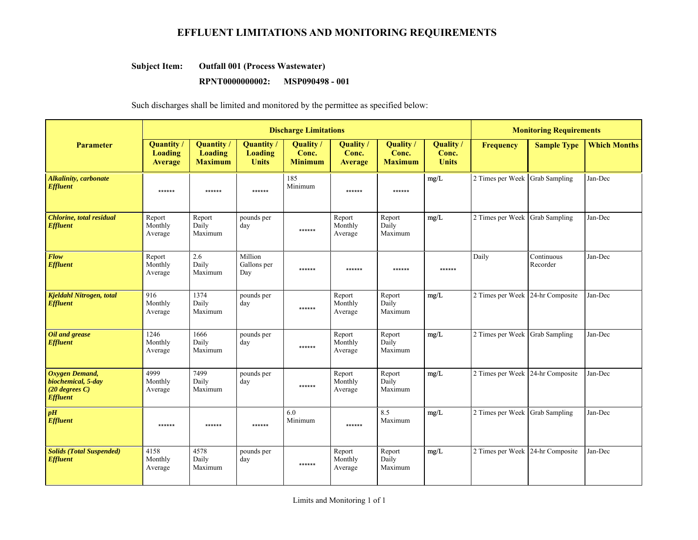# **EFFLUENT LIMITATIONS AND MONITORING REQUIREMENTS**

#### **Outfall 001 (Process Wastewater) Subject Item:**

#### **RPNT0000000002:** MSP090498 - 001

Such discharges shall be limited and monitored by the permittee as specified below:

|                                                                             | <b>Discharge Limitations</b>                          |                                                       |                                             |                                             |                                      |                                             |                                    | <b>Monitoring Requirements</b>   |                        |                     |
|-----------------------------------------------------------------------------|-------------------------------------------------------|-------------------------------------------------------|---------------------------------------------|---------------------------------------------|--------------------------------------|---------------------------------------------|------------------------------------|----------------------------------|------------------------|---------------------|
| <b>Parameter</b>                                                            | <b>Quantity /</b><br><b>Loading</b><br><b>Average</b> | <b>Quantity</b> /<br><b>Loading</b><br><b>Maximum</b> | Quantity/<br><b>Loading</b><br><b>Units</b> | <b>Quality</b> /<br>Conc.<br><b>Minimum</b> | Quality /<br>Conc.<br><b>Average</b> | <b>Quality</b> /<br>Conc.<br><b>Maximum</b> | Quality /<br>Conc.<br><b>Units</b> | <b>Frequency</b>                 | <b>Sample Type</b>     | <b>Which Months</b> |
| <b>Alkalinity, carbonate</b><br><b>Effluent</b>                             | ******                                                | $******$                                              | ******                                      | 185<br>Minimum                              | ******                               | ******                                      | $\rm mg/L$                         | 2 Times per Week Grab Sampling   |                        | Jan-Dec             |
| <b>Chlorine</b> , total residual<br><b>Effluent</b>                         | Report<br>Monthly<br>Average                          | Report<br>Daily<br>Maximum                            | pounds per<br>day                           | ******                                      | Report<br>Monthly<br>Average         | Report<br>Daily<br>Maximum                  | mg/L                               | 2 Times per Week Grab Sampling   |                        | Jan-Dec             |
| Flow<br><b>Effluent</b>                                                     | Report<br>Monthly<br>Average                          | 2.6<br>Daily<br>Maximum                               | Million<br>Gallons per<br>Day               | ******                                      | ******                               | ******                                      | ******                             | Daily                            | Continuous<br>Recorder | Jan-Dec             |
| Kjeldahl Nitrogen, total<br><b>Effluent</b>                                 | 916<br>Monthly<br>Average                             | 1374<br>Daily<br>Maximum                              | pounds per<br>day                           | ******                                      | Report<br>Monthly<br>Average         | Report<br>Daily<br>Maximum                  | mg/L                               | 2 Times per Week 24-hr Composite |                        | Jan-Dec             |
| Oil and grease<br><b>Effluent</b>                                           | 1246<br>Monthly<br>Average                            | 1666<br>Daily<br>Maximum                              | pounds per<br>day                           | ******                                      | Report<br>Monthly<br>Average         | Report<br>Daily<br>Maximum                  | mg/L                               | 2 Times per Week Grab Sampling   |                        | Jan-Dec             |
| Oxygen Demand,<br>biochemical, 5-day<br>$(20$ degrees C)<br><b>Effluent</b> | 4999<br>Monthly<br>Average                            | 7499<br>Daily<br>Maximum                              | pounds per<br>day                           | ******                                      | Report<br>Monthly<br>Average         | Report<br>Daily<br>Maximum                  | mg/L                               | 2 Times per Week 24-hr Composite |                        | Jan-Dec             |
| pH<br><b>Effluent</b>                                                       | ******                                                | ******                                                | ******                                      | 6.0<br>Minimum                              | ******                               | 8.5<br>Maximum                              | mg/L                               | 2 Times per Week                 | <b>Grab Sampling</b>   | Jan-Dec             |
| <b>Solids (Total Suspended)</b><br><b>Effluent</b>                          | 4158<br>Monthly<br>Average                            | 4578<br>Daily<br>Maximum                              | pounds per<br>day                           | ******                                      | Report<br>Monthly<br>Average         | Report<br>Daily<br>Maximum                  | mg/L                               | 2 Times per Week 24-hr Composite |                        | Jan-Dec             |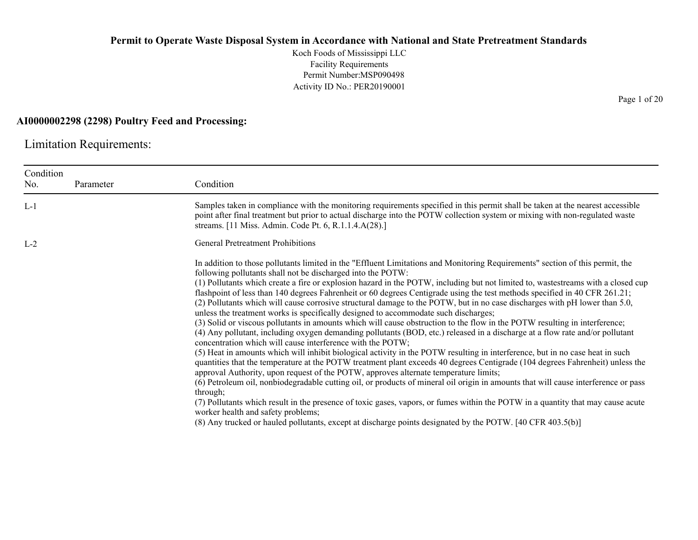Koch Foods of Mississippi LLC Facility Requirements Permit Number:MSP090498 Activity ID No.: PER20190001

#### **AI0000002298 (2298) Poultry Feed and Processing:**

Limitation Requirements:

| Condition<br>No. | Parameter | Condition                                                                                                                                                                                                                                                                                                                                                                                                                                                                                                                                                                                                                                                                                                                                                                                                                                                                                                                                                                                                                                                                                                                                                                                                                                                                                                                                                                                                                                                                                                                                                                                                                                                                                                                                                                                                          |
|------------------|-----------|--------------------------------------------------------------------------------------------------------------------------------------------------------------------------------------------------------------------------------------------------------------------------------------------------------------------------------------------------------------------------------------------------------------------------------------------------------------------------------------------------------------------------------------------------------------------------------------------------------------------------------------------------------------------------------------------------------------------------------------------------------------------------------------------------------------------------------------------------------------------------------------------------------------------------------------------------------------------------------------------------------------------------------------------------------------------------------------------------------------------------------------------------------------------------------------------------------------------------------------------------------------------------------------------------------------------------------------------------------------------------------------------------------------------------------------------------------------------------------------------------------------------------------------------------------------------------------------------------------------------------------------------------------------------------------------------------------------------------------------------------------------------------------------------------------------------|
| $L-1$            |           | Samples taken in compliance with the monitoring requirements specified in this permit shall be taken at the nearest accessible<br>point after final treatment but prior to actual discharge into the POTW collection system or mixing with non-regulated waste<br>streams. [11 Miss. Admin. Code Pt. 6, R.1.1.4.A(28).]                                                                                                                                                                                                                                                                                                                                                                                                                                                                                                                                                                                                                                                                                                                                                                                                                                                                                                                                                                                                                                                                                                                                                                                                                                                                                                                                                                                                                                                                                            |
| $L-2$            |           | <b>General Pretreatment Prohibitions</b>                                                                                                                                                                                                                                                                                                                                                                                                                                                                                                                                                                                                                                                                                                                                                                                                                                                                                                                                                                                                                                                                                                                                                                                                                                                                                                                                                                                                                                                                                                                                                                                                                                                                                                                                                                           |
|                  |           | In addition to those pollutants limited in the "Effluent Limitations and Monitoring Requirements" section of this permit, the<br>following pollutants shall not be discharged into the POTW:<br>(1) Pollutants which create a fire or explosion hazard in the POTW, including but not limited to, wastestreams with a closed cup<br>flashpoint of less than 140 degrees Fahrenheit or 60 degrees Centigrade using the test methods specified in 40 CFR 261.21;<br>(2) Pollutants which will cause corrosive structural damage to the POTW, but in no case discharges with pH lower than 5.0,<br>unless the treatment works is specifically designed to accommodate such discharges;<br>(3) Solid or viscous pollutants in amounts which will cause obstruction to the flow in the POTW resulting in interference;<br>(4) Any pollutant, including oxygen demanding pollutants (BOD, etc.) released in a discharge at a flow rate and/or pollutant<br>concentration which will cause interference with the POTW;<br>(5) Heat in amounts which will inhibit biological activity in the POTW resulting in interference, but in no case heat in such<br>quantities that the temperature at the POTW treatment plant exceeds 40 degrees Centigrade (104 degrees Fahrenheit) unless the<br>approval Authority, upon request of the POTW, approves alternate temperature limits;<br>(6) Petroleum oil, nonbiodegradable cutting oil, or products of mineral oil origin in amounts that will cause interference or pass<br>through;<br>(7) Pollutants which result in the presence of toxic gases, vapors, or fumes within the POTW in a quantity that may cause acute<br>worker health and safety problems;<br>(8) Any trucked or hauled pollutants, except at discharge points designated by the POTW. [40 CFR 403.5(b)] |

Page 1 of 20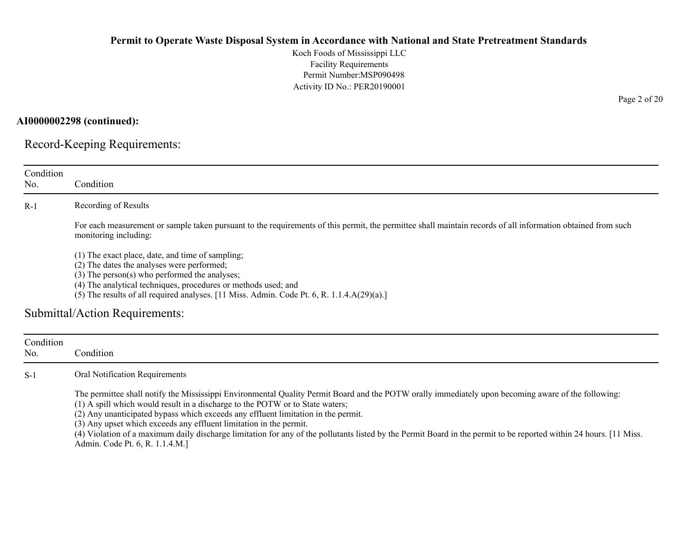Koch Foods of Mississippi LLC Facility Requirements Permit Number:MSP090498 Activity ID No.: PER20190001

**AI0000002298 (continued):**

Record-Keeping Requirements:

| Condition<br>No. | Condition                                                                                                                                                                                                                                                                                                                                                                                       |
|------------------|-------------------------------------------------------------------------------------------------------------------------------------------------------------------------------------------------------------------------------------------------------------------------------------------------------------------------------------------------------------------------------------------------|
|                  |                                                                                                                                                                                                                                                                                                                                                                                                 |
| $R-1$            | Recording of Results                                                                                                                                                                                                                                                                                                                                                                            |
|                  | For each measurement or sample taken pursuant to the requirements of this permit, the permittee shall maintain records of all information obtained from such<br>monitoring including:                                                                                                                                                                                                           |
|                  | (1) The exact place, date, and time of sampling;                                                                                                                                                                                                                                                                                                                                                |
|                  | (2) The dates the analyses were performed;                                                                                                                                                                                                                                                                                                                                                      |
|                  | $(3)$ The person $(s)$ who performed the analyses;                                                                                                                                                                                                                                                                                                                                              |
|                  | (4) The analytical techniques, procedures or methods used; and<br>(5) The results of all required analyses. $[11 \text{ Miss. } \text{Admin. } \text{Code Pt. } 6, \text{R. } 1.1.4 \text{A}(29)(a).]$                                                                                                                                                                                          |
|                  |                                                                                                                                                                                                                                                                                                                                                                                                 |
|                  | Submittal/Action Requirements:                                                                                                                                                                                                                                                                                                                                                                  |
|                  |                                                                                                                                                                                                                                                                                                                                                                                                 |
| Condition        |                                                                                                                                                                                                                                                                                                                                                                                                 |
| No.              | Condition                                                                                                                                                                                                                                                                                                                                                                                       |
| $S-1$            | Oral Notification Requirements                                                                                                                                                                                                                                                                                                                                                                  |
|                  | The permittee shall notify the Mississippi Environmental Quality Permit Board and the POTW orally immediately upon becoming aware of the following:<br>(1) A spill which would result in a discharge to the POTW or to State waters;<br>(2) Any unanticipated bypass which exceeds any effluent limitation in the permit.<br>(3) Any upset which exceeds any effluent limitation in the permit. |

Page 2 of 20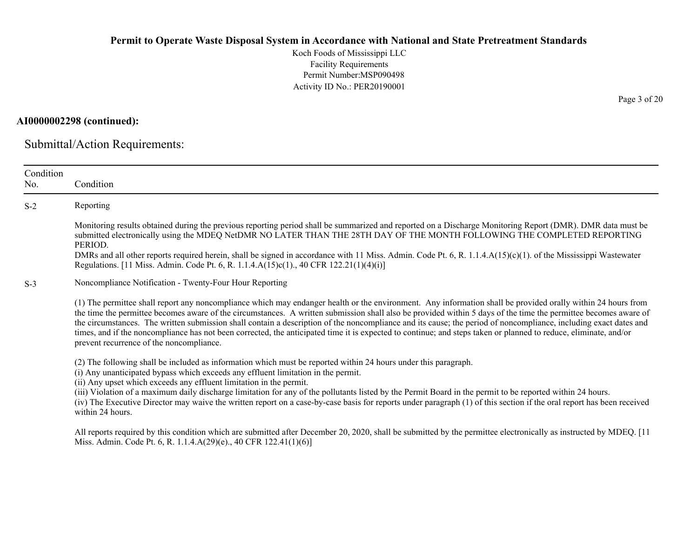Koch Foods of Mississippi LLC Facility Requirements Permit Number:MSP090498 Activity ID No.: PER20190001

**AI0000002298 (continued):**

Submittal/Action Requirements:

| Condition |                                                                                                                                                                                                                                                                                                                                                                                                                                                                                                                                                                                                                                                                                                                     |
|-----------|---------------------------------------------------------------------------------------------------------------------------------------------------------------------------------------------------------------------------------------------------------------------------------------------------------------------------------------------------------------------------------------------------------------------------------------------------------------------------------------------------------------------------------------------------------------------------------------------------------------------------------------------------------------------------------------------------------------------|
| No.       | Condition                                                                                                                                                                                                                                                                                                                                                                                                                                                                                                                                                                                                                                                                                                           |
| $S-2$     | Reporting                                                                                                                                                                                                                                                                                                                                                                                                                                                                                                                                                                                                                                                                                                           |
|           | Monitoring results obtained during the previous reporting period shall be summarized and reported on a Discharge Monitoring Report (DMR). DMR data must be<br>submitted electronically using the MDEQ NetDMR NO LATER THAN THE 28TH DAY OF THE MONTH FOLLOWING THE COMPLETED REPORTING<br>PERIOD.                                                                                                                                                                                                                                                                                                                                                                                                                   |
|           | DMRs and all other reports required herein, shall be signed in accordance with 11 Miss. Admin. Code Pt. 6, R. 1.1.4. $A(15)(c)(1)$ . of the Mississippi Wastewater<br>Regulations. [11 Miss. Admin. Code Pt. 6, R. 1.1.4.A(15)c(1)., 40 CFR 122.21(1)(4)(i)]                                                                                                                                                                                                                                                                                                                                                                                                                                                        |
| $S-3$     | Noncompliance Notification - Twenty-Four Hour Reporting                                                                                                                                                                                                                                                                                                                                                                                                                                                                                                                                                                                                                                                             |
|           | (1) The permittee shall report any noncompliance which may endanger health or the environment. Any information shall be provided orally within 24 hours from<br>the time the permittee becomes aware of the circumstances. A written submission shall also be provided within 5 days of the time the permittee becomes aware of<br>the circumstances. The written submission shall contain a description of the noncompliance and its cause; the period of noncompliance, including exact dates and<br>times, and if the noncompliance has not been corrected, the anticipated time it is expected to continue; and steps taken or planned to reduce, eliminate, and/or<br>prevent recurrence of the noncompliance. |
|           | (2) The following shall be included as information which must be reported within 24 hours under this paragraph.<br>(i) Any unanticipated bypass which exceeds any effluent limitation in the permit.<br>(ii) Any upset which exceeds any effluent limitation in the permit.<br>(iii) Violation of a maximum daily discharge limitation for any of the pollutants listed by the Permit Board in the permit to be reported within 24 hours.<br>(iv) The Executive Director may waive the written report on a case-by-case basis for reports under paragraph (1) of this section if the oral report has been received<br>within 24 hours.                                                                              |
|           | All reports required by this condition which are submitted after December 20, 2020, shall be submitted by the permittee electronically as instructed by MDEQ. [11<br>Miss. Admin. Code Pt. 6, R. 1.1.4.A(29)(e)., 40 CFR 122.41(1)(6)]                                                                                                                                                                                                                                                                                                                                                                                                                                                                              |

Page 3 of 20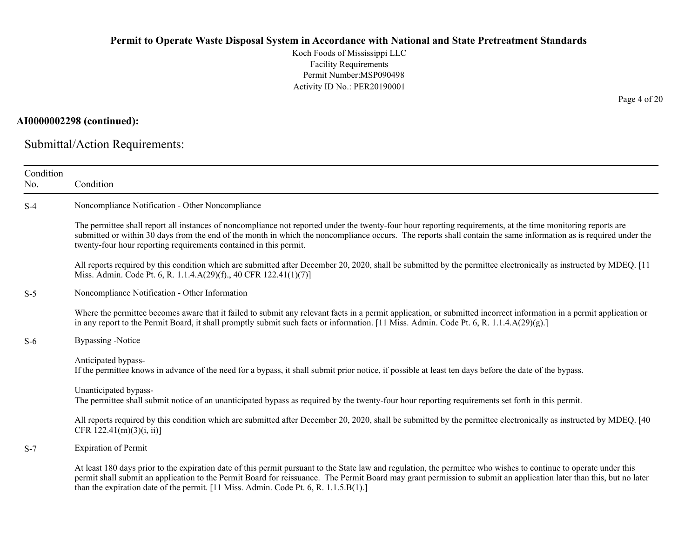Koch Foods of Mississippi LLC Facility Requirements Permit Number:MSP090498 Activity ID No.: PER20190001

## **AI0000002298 (continued):**

Submittal/Action Requirements:

| Condition<br>No. | Condition                                                                                                                                                                                                                                                                                                                                                                                                                         |
|------------------|-----------------------------------------------------------------------------------------------------------------------------------------------------------------------------------------------------------------------------------------------------------------------------------------------------------------------------------------------------------------------------------------------------------------------------------|
| $S-4$            | Noncompliance Notification - Other Noncompliance                                                                                                                                                                                                                                                                                                                                                                                  |
|                  | The permittee shall report all instances of noncompliance not reported under the twenty-four hour reporting requirements, at the time monitoring reports are<br>submitted or within 30 days from the end of the month in which the noncompliance occurs. The reports shall contain the same information as is required under the<br>twenty-four hour reporting requirements contained in this permit.                             |
|                  | All reports required by this condition which are submitted after December 20, 2020, shall be submitted by the permittee electronically as instructed by MDEQ. [11<br>Miss. Admin. Code Pt. 6, R. 1.1.4.A(29)(f)., 40 CFR 122.41(1)(7)]                                                                                                                                                                                            |
| $S-5$            | Noncompliance Notification - Other Information                                                                                                                                                                                                                                                                                                                                                                                    |
|                  | Where the permittee becomes aware that it failed to submit any relevant facts in a permit application, or submitted incorrect information in a permit application or<br>in any report to the Permit Board, it shall promptly submit such facts or information. [11 Miss. Admin. Code Pt. 6, R. 1.1.4.A(29)(g).]                                                                                                                   |
| $S-6$            | <b>Bypassing</b> -Notice                                                                                                                                                                                                                                                                                                                                                                                                          |
|                  | Anticipated bypass-<br>If the permittee knows in advance of the need for a bypass, it shall submit prior notice, if possible at least ten days before the date of the bypass.                                                                                                                                                                                                                                                     |
|                  | Unanticipated bypass-<br>The permittee shall submit notice of an unanticipated bypass as required by the twenty-four hour reporting requirements set forth in this permit.                                                                                                                                                                                                                                                        |
|                  | All reports required by this condition which are submitted after December 20, 2020, shall be submitted by the permittee electronically as instructed by MDEQ. [40]<br>CFR $122.41(m)(3)(i, ii)$                                                                                                                                                                                                                                   |
| $S-7$            | <b>Expiration of Permit</b>                                                                                                                                                                                                                                                                                                                                                                                                       |
|                  | At least 180 days prior to the expiration date of this permit pursuant to the State law and regulation, the permittee who wishes to continue to operate under this<br>permit shall submit an application to the Permit Board for reissuance. The Permit Board may grant permission to submit an application later than this, but no later<br>than the expiration date of the permit. [11 Miss. Admin. Code Pt. 6, R. 1.1.5.B(1).] |

Page 4 of 20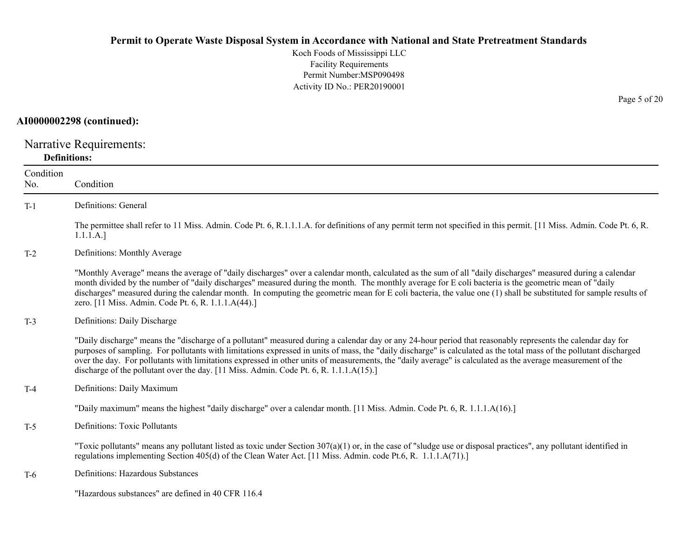Koch Foods of Mississippi LLC Facility Requirements Permit Number:MSP090498 Activity ID No.: PER20190001

#### **AI0000002298 (continued):**

Narrative Requirements: **Definitions:**

| Condition<br>No. | Condition                                                                                                                                                                                                                                                                                                                                                                                                                                                                                                                                                                                   |
|------------------|---------------------------------------------------------------------------------------------------------------------------------------------------------------------------------------------------------------------------------------------------------------------------------------------------------------------------------------------------------------------------------------------------------------------------------------------------------------------------------------------------------------------------------------------------------------------------------------------|
| $T-1$            | Definitions: General                                                                                                                                                                                                                                                                                                                                                                                                                                                                                                                                                                        |
|                  | The permittee shall refer to 11 Miss. Admin. Code Pt. 6, R.1.1.1.A. for definitions of any permit term not specified in this permit. [11 Miss. Admin. Code Pt. 6, R.<br>1.1.1.A.]                                                                                                                                                                                                                                                                                                                                                                                                           |
| $T-2$            | Definitions: Monthly Average                                                                                                                                                                                                                                                                                                                                                                                                                                                                                                                                                                |
|                  | "Monthly Average" means the average of "daily discharges" over a calendar month, calculated as the sum of all "daily discharges" measured during a calendar<br>month divided by the number of "daily discharges" measured during the month. The monthly average for E coli bacteria is the geometric mean of "daily<br>discharges" measured during the calendar month. In computing the geometric mean for E coli bacteria, the value one (1) shall be substituted for sample results of<br>zero. [11 Miss. Admin. Code Pt. 6, R. 1.1.1.A(44).]                                             |
| $T-3$            | Definitions: Daily Discharge                                                                                                                                                                                                                                                                                                                                                                                                                                                                                                                                                                |
|                  | "Daily discharge" means the "discharge of a pollutant" measured during a calendar day or any 24-hour period that reasonably represents the calendar day for<br>purposes of sampling. For pollutants with limitations expressed in units of mass, the "daily discharge" is calculated as the total mass of the pollutant discharged<br>over the day. For pollutants with limitations expressed in other units of measurements, the "daily average" is calculated as the average measurement of the<br>discharge of the pollutant over the day. [11 Miss. Admin. Code Pt. 6, R. 1.1.1.A(15).] |
| $T-4$            | Definitions: Daily Maximum                                                                                                                                                                                                                                                                                                                                                                                                                                                                                                                                                                  |
|                  | "Daily maximum" means the highest "daily discharge" over a calendar month. [11 Miss. Admin. Code Pt. 6, R. 1.1.1.A(16).]                                                                                                                                                                                                                                                                                                                                                                                                                                                                    |
| $T-5$            | <b>Definitions: Toxic Pollutants</b>                                                                                                                                                                                                                                                                                                                                                                                                                                                                                                                                                        |
|                  | "Toxic pollutants" means any pollutant listed as toxic under Section $307(a)(1)$ or, in the case of "sludge use or disposal practices", any pollutant identified in<br>regulations implementing Section 405(d) of the Clean Water Act. [11 Miss. Admin. code Pt.6, R. 1.1.1.A(71).]                                                                                                                                                                                                                                                                                                         |
| $T-6$            | Definitions: Hazardous Substances                                                                                                                                                                                                                                                                                                                                                                                                                                                                                                                                                           |
|                  | "Hazardous substances" are defined in 40 CFR 116.4                                                                                                                                                                                                                                                                                                                                                                                                                                                                                                                                          |

Page 5 of 20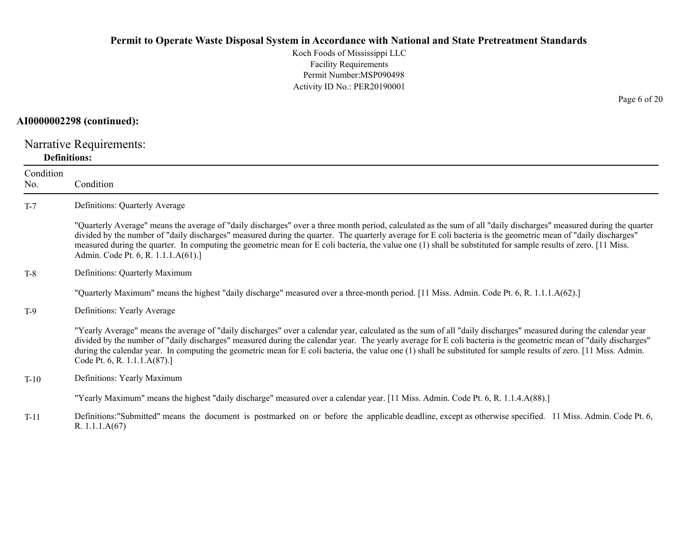Koch Foods of Mississippi LLC Facility Requirements Permit Number:MSP090498Activity ID No.: PER20190001

#### **AI0000002298 (continued):**

Narrative Requirements: **Definitions:**

R. 1.1.1.A(67)

ConditionNo. ConditionT-7 Definitions: Quarterly Average "Quarterly Average" means the average of "daily discharges" over a three month period, calculated as the sum of all "daily discharges" measured during the quarter divided by the number of "daily discharges" measured during the quarter. The quarterly average for E coli bacteria is the geometric mean of "daily discharges" measured during the quarter. In computing the geometric mean for E coli bacteria, the value one (1) shall be substituted for sample results of zero. [11 Miss. Admin. Code Pt. 6, R. 1.1.1.A(61).] T-8 Definitions: Quarterly Maximum "Quarterly Maximum" means the highest "daily discharge" measured over a three-month period. [11 Miss. Admin. Code Pt. 6, R. 1.1.1.A(62).] T-9 Definitions: Yearly Average "Yearly Average" means the average of "daily discharges" over a calendar year, calculated as the sum of all "daily discharges" measured during the calendar year divided by the number of "daily discharges" measured during the calendar year. The yearly average for E coli bacteria is the geometric mean of "daily discharges" during the calendar year. In computing the geometric mean for E coli bacteria, the value one (1) shall be substituted for sample results of zero. [11 Miss. Admin. Code Pt. 6, R. 1.1.1.A(87).] T-10 Definitions: Yearly Maximum "Yearly Maximum" means the highest "daily discharge" measured over a calendar year. [11 Miss. Admin. Code Pt. 6, R. 1.1.4.A(88).] T-11Definitions:"Submitted" means the document is postmarked on or before the applicable deadline, except as otherwise specified. 11 Miss. Admin. Code Pt. 6,

Page 6 of 20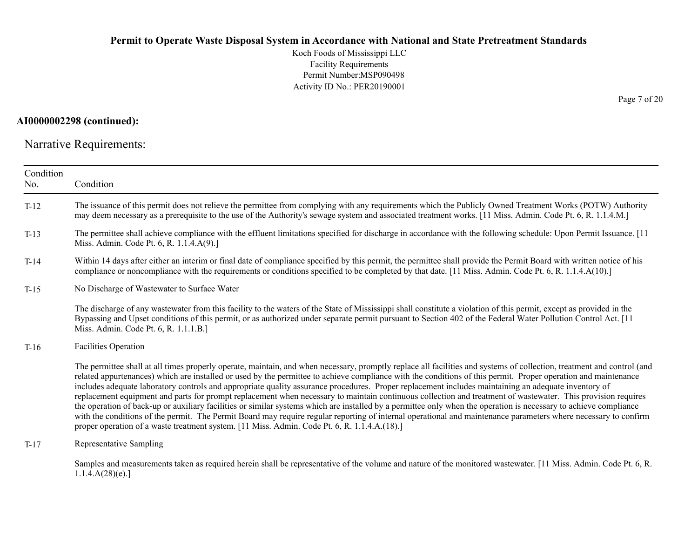Koch Foods of Mississippi LLC Facility Requirements Permit Number:MSP090498 Activity ID No.: PER20190001

### **AI0000002298 (continued):**

Narrative Requirements:

| Condition<br>No. | Condition                                                                                                                                                                                                                                                                                                                                                                                                                                                                                                                                                                                                                                                                                                                                                                                                                                                                                                                                                                                                                                                                                                |
|------------------|----------------------------------------------------------------------------------------------------------------------------------------------------------------------------------------------------------------------------------------------------------------------------------------------------------------------------------------------------------------------------------------------------------------------------------------------------------------------------------------------------------------------------------------------------------------------------------------------------------------------------------------------------------------------------------------------------------------------------------------------------------------------------------------------------------------------------------------------------------------------------------------------------------------------------------------------------------------------------------------------------------------------------------------------------------------------------------------------------------|
| $T-12$           | The issuance of this permit does not relieve the permittee from complying with any requirements which the Publicly Owned Treatment Works (POTW) Authority<br>may deem necessary as a prerequisite to the use of the Authority's sewage system and associated treatment works. [11 Miss. Admin. Code Pt. 6, R. 1.1.4.M.]                                                                                                                                                                                                                                                                                                                                                                                                                                                                                                                                                                                                                                                                                                                                                                                  |
| $T-13$           | The permittee shall achieve compliance with the effluent limitations specified for discharge in accordance with the following schedule: Upon Permit Issuance. [11<br>Miss. Admin. Code Pt. 6, R. 1.1.4.A(9).]                                                                                                                                                                                                                                                                                                                                                                                                                                                                                                                                                                                                                                                                                                                                                                                                                                                                                            |
| $T-14$           | Within 14 days after either an interim or final date of compliance specified by this permit, the permittee shall provide the Permit Board with written notice of his<br>compliance or noncompliance with the requirements or conditions specified to be completed by that date. [11 Miss. Admin. Code Pt. 6, R. 1.1.4.A(10).]                                                                                                                                                                                                                                                                                                                                                                                                                                                                                                                                                                                                                                                                                                                                                                            |
| $T-15$           | No Discharge of Wastewater to Surface Water                                                                                                                                                                                                                                                                                                                                                                                                                                                                                                                                                                                                                                                                                                                                                                                                                                                                                                                                                                                                                                                              |
|                  | The discharge of any wastewater from this facility to the waters of the State of Mississippi shall constitute a violation of this permit, except as provided in the<br>Bypassing and Upset conditions of this permit, or as authorized under separate permit pursuant to Section 402 of the Federal Water Pollution Control Act. [11]<br>Miss. Admin. Code Pt. 6, R. 1.1.1.B.]                                                                                                                                                                                                                                                                                                                                                                                                                                                                                                                                                                                                                                                                                                                           |
| $T-16$           | Facilities Operation                                                                                                                                                                                                                                                                                                                                                                                                                                                                                                                                                                                                                                                                                                                                                                                                                                                                                                                                                                                                                                                                                     |
|                  | The permittee shall at all times properly operate, maintain, and when necessary, promptly replace all facilities and systems of collection, treatment and control (and<br>related appurtenances) which are installed or used by the permittee to achieve compliance with the conditions of this permit. Proper operation and maintenance<br>includes adequate laboratory controls and appropriate quality assurance procedures. Proper replacement includes maintaining an adequate inventory of<br>replacement equipment and parts for prompt replacement when necessary to maintain continuous collection and treatment of wastewater. This provision requires<br>the operation of back-up or auxiliary facilities or similar systems which are installed by a permittee only when the operation is necessary to achieve compliance<br>with the conditions of the permit. The Permit Board may require regular reporting of internal operational and maintenance parameters where necessary to confirm<br>proper operation of a waste treatment system. [11 Miss. Admin. Code Pt. 6, R. 1.1.4.A.(18).] |
| $T-17$           | Representative Sampling                                                                                                                                                                                                                                                                                                                                                                                                                                                                                                                                                                                                                                                                                                                                                                                                                                                                                                                                                                                                                                                                                  |
|                  | Samples and measurements taken as required herein shall be representative of the volume and nature of the monitored wastewater. [11 Miss. Admin. Code Pt. 6, R.<br>1.1.4.A(28)(e).                                                                                                                                                                                                                                                                                                                                                                                                                                                                                                                                                                                                                                                                                                                                                                                                                                                                                                                       |

Page 7 of 20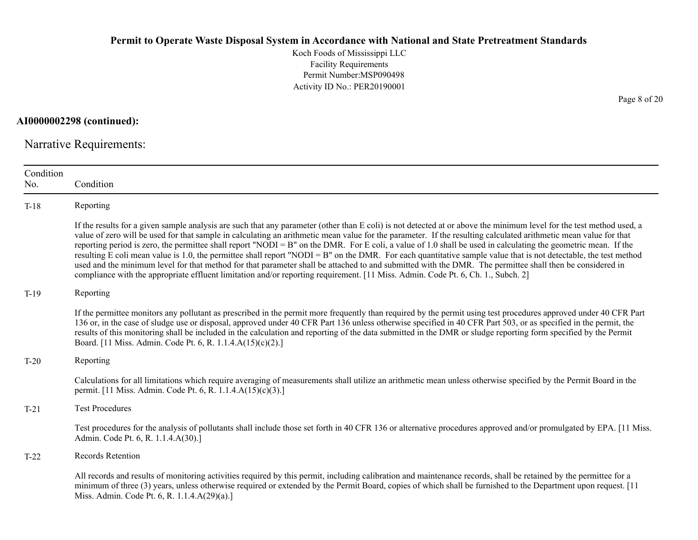Koch Foods of Mississippi LLC Facility Requirements Permit Number:MSP090498 Activity ID No.: PER20190001

**AI0000002298 (continued):**

Narrative Requirements:

| Condition<br>No. | Condition                                                                                                                                                                                                                                                                                                                                                                                                                                                                                                                                                                                                                                                                                                                                                                                                                                                                                                                                                                      |
|------------------|--------------------------------------------------------------------------------------------------------------------------------------------------------------------------------------------------------------------------------------------------------------------------------------------------------------------------------------------------------------------------------------------------------------------------------------------------------------------------------------------------------------------------------------------------------------------------------------------------------------------------------------------------------------------------------------------------------------------------------------------------------------------------------------------------------------------------------------------------------------------------------------------------------------------------------------------------------------------------------|
| $T-18$           | Reporting                                                                                                                                                                                                                                                                                                                                                                                                                                                                                                                                                                                                                                                                                                                                                                                                                                                                                                                                                                      |
|                  | If the results for a given sample analysis are such that any parameter (other than E coli) is not detected at or above the minimum level for the test method used, a<br>value of zero will be used for that sample in calculating an arithmetic mean value for the parameter. If the resulting calculated arithmetic mean value for that<br>reporting period is zero, the permittee shall report "NODI = B" on the DMR. For E coli, a value of 1.0 shall be used in calculating the geometric mean. If the<br>resulting E coli mean value is 1.0, the permittee shall report "NODI = B" on the DMR. For each quantitative sample value that is not detectable, the test method<br>used and the minimum level for that method for that parameter shall be attached to and submitted with the DMR. The permittee shall then be considered in<br>compliance with the appropriate effluent limitation and/or reporting requirement. [11 Miss. Admin. Code Pt. 6, Ch. 1., Subch. 2] |
| $T-19$           | Reporting                                                                                                                                                                                                                                                                                                                                                                                                                                                                                                                                                                                                                                                                                                                                                                                                                                                                                                                                                                      |
|                  | If the permittee monitors any pollutant as prescribed in the permit more frequently than required by the permit using test procedures approved under 40 CFR Part<br>136 or, in the case of sludge use or disposal, approved under 40 CFR Part 136 unless otherwise specified in 40 CFR Part 503, or as specified in the permit, the<br>results of this monitoring shall be included in the calculation and reporting of the data submitted in the DMR or sludge reporting form specified by the Permit<br>Board. [11 Miss. Admin. Code Pt. 6, R. 1.1.4.A(15)(c)(2).]                                                                                                                                                                                                                                                                                                                                                                                                           |
| $T-20$           | Reporting                                                                                                                                                                                                                                                                                                                                                                                                                                                                                                                                                                                                                                                                                                                                                                                                                                                                                                                                                                      |
|                  | Calculations for all limitations which require averaging of measurements shall utilize an arithmetic mean unless otherwise specified by the Permit Board in the<br>permit. [11 Miss. Admin. Code Pt. 6, R. 1.1.4.A(15)(c)(3).]                                                                                                                                                                                                                                                                                                                                                                                                                                                                                                                                                                                                                                                                                                                                                 |
| $T-21$           | <b>Test Procedures</b>                                                                                                                                                                                                                                                                                                                                                                                                                                                                                                                                                                                                                                                                                                                                                                                                                                                                                                                                                         |
|                  | Test procedures for the analysis of pollutants shall include those set forth in 40 CFR 136 or alternative procedures approved and/or promulgated by EPA. [11 Miss.]<br>Admin. Code Pt. 6, R. 1.1.4.A(30).]                                                                                                                                                                                                                                                                                                                                                                                                                                                                                                                                                                                                                                                                                                                                                                     |
| $T-22$           | Records Retention                                                                                                                                                                                                                                                                                                                                                                                                                                                                                                                                                                                                                                                                                                                                                                                                                                                                                                                                                              |
|                  | All records and results of monitoring activities required by this permit, including calibration and maintenance records, shall be retained by the permittee for a<br>minimum of three (3) years, unless otherwise required or extended by the Permit Board, copies of which shall be furnished to the Department upon request. [11]<br>Miss. Admin. Code Pt. 6, R. 1.1.4.A(29)(a).]                                                                                                                                                                                                                                                                                                                                                                                                                                                                                                                                                                                            |

Page 8 of 20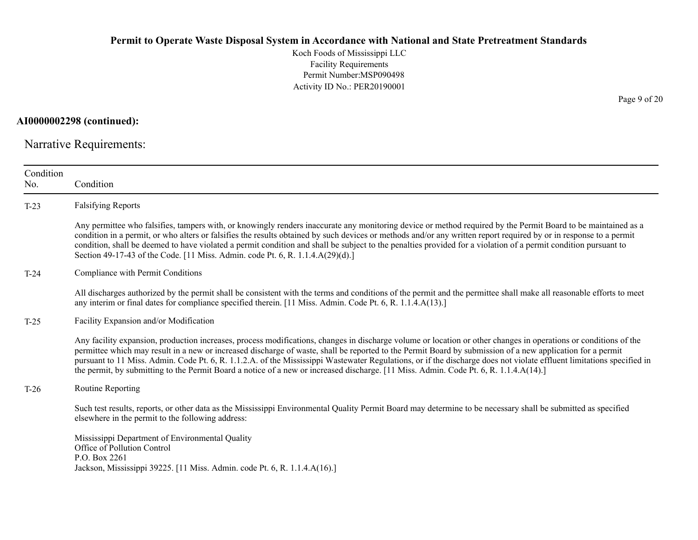Koch Foods of Mississippi LLC Facility Requirements Permit Number:MSP090498 Activity ID No.: PER20190001

**AI0000002298 (continued):**

Narrative Requirements:

| Any permittee who falsifies, tampers with, or knowingly renders inaccurate any monitoring device or method required by the Permit Board to be maintained as a<br>condition in a permit, or who alters or falsifies the results obtained by such devices or methods and/or any written report required by or in response to a permit                                                                                                                                                                                                                                                                                                              |
|--------------------------------------------------------------------------------------------------------------------------------------------------------------------------------------------------------------------------------------------------------------------------------------------------------------------------------------------------------------------------------------------------------------------------------------------------------------------------------------------------------------------------------------------------------------------------------------------------------------------------------------------------|
|                                                                                                                                                                                                                                                                                                                                                                                                                                                                                                                                                                                                                                                  |
| condition, shall be deemed to have violated a permit condition and shall be subject to the penalties provided for a violation of a permit condition pursuant to                                                                                                                                                                                                                                                                                                                                                                                                                                                                                  |
|                                                                                                                                                                                                                                                                                                                                                                                                                                                                                                                                                                                                                                                  |
| All discharges authorized by the permit shall be consistent with the terms and conditions of the permit and the permittee shall make all reasonable efforts to meet                                                                                                                                                                                                                                                                                                                                                                                                                                                                              |
|                                                                                                                                                                                                                                                                                                                                                                                                                                                                                                                                                                                                                                                  |
| Any facility expansion, production increases, process modifications, changes in discharge volume or location or other changes in operations or conditions of the<br>permittee which may result in a new or increased discharge of waste, shall be reported to the Permit Board by submission of a new application for a permit<br>pursuant to 11 Miss. Admin. Code Pt. 6, R. 1.1.2.A. of the Mississippi Wastewater Regulations, or if the discharge does not violate effluent limitations specified in<br>the permit, by submitting to the Permit Board a notice of a new or increased discharge. [11 Miss. Admin. Code Pt. 6, R. 1.1.4.A(14).] |
|                                                                                                                                                                                                                                                                                                                                                                                                                                                                                                                                                                                                                                                  |
| Such test results, reports, or other data as the Mississippi Environmental Quality Permit Board may determine to be necessary shall be submitted as specified                                                                                                                                                                                                                                                                                                                                                                                                                                                                                    |
|                                                                                                                                                                                                                                                                                                                                                                                                                                                                                                                                                                                                                                                  |
|                                                                                                                                                                                                                                                                                                                                                                                                                                                                                                                                                                                                                                                  |

Page 9 of 20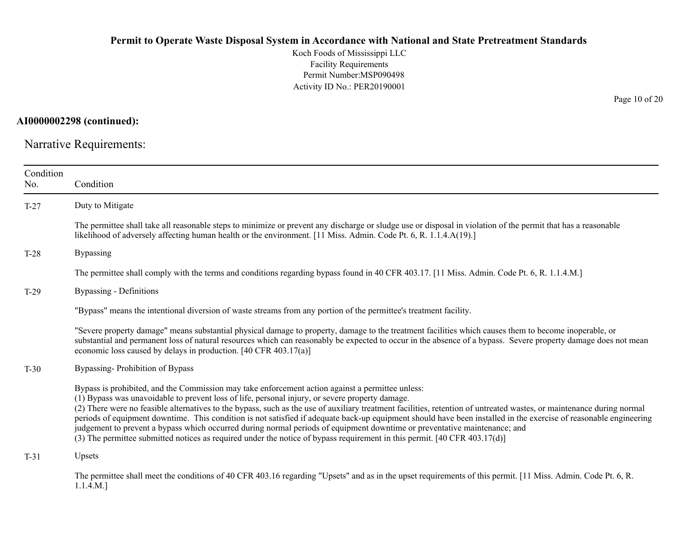Koch Foods of Mississippi LLC Facility Requirements Permit Number:MSP090498 Activity ID No.: PER20190001

**AI0000002298 (continued):**

Narrative Requirements:

| Condition<br>No. | Condition                                                                                                                                                                                                                                                                                                                                                                                                                                                                                                                                                                                                                                                                                                                                                                                                   |
|------------------|-------------------------------------------------------------------------------------------------------------------------------------------------------------------------------------------------------------------------------------------------------------------------------------------------------------------------------------------------------------------------------------------------------------------------------------------------------------------------------------------------------------------------------------------------------------------------------------------------------------------------------------------------------------------------------------------------------------------------------------------------------------------------------------------------------------|
| $T-27$           | Duty to Mitigate                                                                                                                                                                                                                                                                                                                                                                                                                                                                                                                                                                                                                                                                                                                                                                                            |
|                  | The permittee shall take all reasonable steps to minimize or prevent any discharge or sludge use or disposal in violation of the permit that has a reasonable<br>likelihood of adversely affecting human health or the environment. [11 Miss. Admin. Code Pt. 6, R. 1.1.4.A(19).]                                                                                                                                                                                                                                                                                                                                                                                                                                                                                                                           |
| $T-28$           | <b>Bypassing</b>                                                                                                                                                                                                                                                                                                                                                                                                                                                                                                                                                                                                                                                                                                                                                                                            |
|                  | The permittee shall comply with the terms and conditions regarding bypass found in 40 CFR 403.17. [11 Miss. Admin. Code Pt. 6, R. 1.1.4.M.]                                                                                                                                                                                                                                                                                                                                                                                                                                                                                                                                                                                                                                                                 |
| $T-29$           | <b>Bypassing - Definitions</b>                                                                                                                                                                                                                                                                                                                                                                                                                                                                                                                                                                                                                                                                                                                                                                              |
|                  | "Bypass" means the intentional diversion of waste streams from any portion of the permittee's treatment facility.                                                                                                                                                                                                                                                                                                                                                                                                                                                                                                                                                                                                                                                                                           |
|                  | "Severe property damage" means substantial physical damage to property, damage to the treatment facilities which causes them to become inoperable, or<br>substantial and permanent loss of natural resources which can reasonably be expected to occur in the absence of a bypass. Severe property damage does not mean<br>economic loss caused by delays in production. [40 CFR 403.17(a)]                                                                                                                                                                                                                                                                                                                                                                                                                 |
| $T-30$           | Bypassing-Prohibition of Bypass                                                                                                                                                                                                                                                                                                                                                                                                                                                                                                                                                                                                                                                                                                                                                                             |
|                  | Bypass is prohibited, and the Commission may take enforcement action against a permittee unless:<br>(1) Bypass was unavoidable to prevent loss of life, personal injury, or severe property damage.<br>(2) There were no feasible alternatives to the bypass, such as the use of auxiliary treatment facilities, retention of untreated wastes, or maintenance during normal<br>periods of equipment downtime. This condition is not satisfied if adequate back-up equipment should have been installed in the exercise of reasonable engineering<br>judgement to prevent a bypass which occurred during normal periods of equipment downtime or preventative maintenance; and<br>(3) The permittee submitted notices as required under the notice of bypass requirement in this permit. [40 CFR 403.17(d)] |
| $T-31$           | Upsets                                                                                                                                                                                                                                                                                                                                                                                                                                                                                                                                                                                                                                                                                                                                                                                                      |
|                  | The permittee shall meet the conditions of 40 CFR 403.16 regarding "Upsets" and as in the upset requirements of this permit. [11 Miss. Admin. Code Pt. 6, R.<br>1.1.4.M.                                                                                                                                                                                                                                                                                                                                                                                                                                                                                                                                                                                                                                    |

Page 10 of 20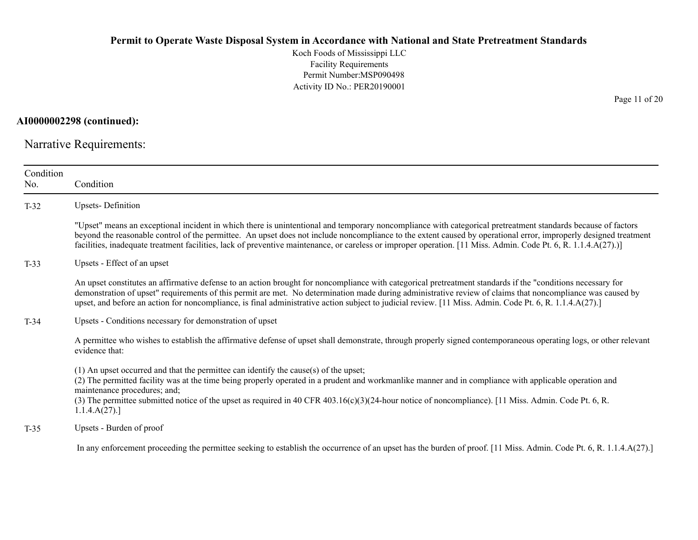Koch Foods of Mississippi LLC Facility Requirements Permit Number:MSP090498 Activity ID No.: PER20190001

**AI0000002298 (continued):**

Narrative Requirements:

| Condition<br>No. | Condition                                                                                                                                                                                                                                                                                                                                                                                                                                                                                          |  |  |
|------------------|----------------------------------------------------------------------------------------------------------------------------------------------------------------------------------------------------------------------------------------------------------------------------------------------------------------------------------------------------------------------------------------------------------------------------------------------------------------------------------------------------|--|--|
| $T-32$           | <b>Upsets-Definition</b>                                                                                                                                                                                                                                                                                                                                                                                                                                                                           |  |  |
|                  | "Upset" means an exceptional incident in which there is unintentional and temporary noncompliance with categorical pretreatment standards because of factors<br>beyond the reasonable control of the permittee. An upset does not include noncompliance to the extent caused by operational error, improperly designed treatment<br>facilities, inadequate treatment facilities, lack of preventive maintenance, or careless or improper operation. [11 Miss. Admin. Code Pt. 6, R. 1.1.4.A(27).)] |  |  |
| $T-33$           | Upsets - Effect of an upset                                                                                                                                                                                                                                                                                                                                                                                                                                                                        |  |  |
|                  | An upset constitutes an affirmative defense to an action brought for noncompliance with categorical pretreatment standards if the "conditions necessary for<br>demonstration of upset" requirements of this permit are met. No determination made during administrative review of claims that noncompliance was caused by<br>upset, and before an action for noncompliance, is final administrative action subject to judicial review. [11 Miss. Admin. Code Pt. 6, R. 1.1.4.A(27).]               |  |  |
| $T-34$           | Upsets - Conditions necessary for demonstration of upset                                                                                                                                                                                                                                                                                                                                                                                                                                           |  |  |
|                  | A permittee who wishes to establish the affirmative defense of upset shall demonstrate, through properly signed contemporaneous operating logs, or other relevant<br>evidence that:                                                                                                                                                                                                                                                                                                                |  |  |
|                  | $(1)$ An upset occurred and that the permittee can identify the cause(s) of the upset;<br>(2) The permitted facility was at the time being properly operated in a prudent and workmanlike manner and in compliance with applicable operation and<br>maintenance procedures; and;<br>(3) The permittee submitted notice of the upset as required in 40 CFR 403.16(c)(3)(24-hour notice of noncompliance). [11 Miss. Admin. Code Pt. 6, R.<br>1.1.4.A(27).                                           |  |  |
| $T-35$           | Upsets - Burden of proof                                                                                                                                                                                                                                                                                                                                                                                                                                                                           |  |  |
|                  | In any enforcement proceeding the permittee seeking to establish the occurrence of an upset has the burden of proof. [11 Miss. Admin. Code Pt. 6, R. 1.1.4.A(27).]                                                                                                                                                                                                                                                                                                                                 |  |  |

Page 11 of 20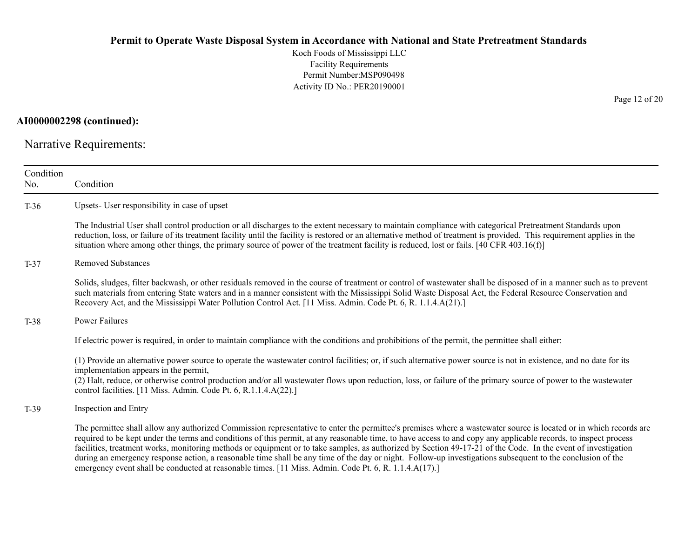Koch Foods of Mississippi LLC Facility Requirements Permit Number:MSP090498 Activity ID No.: PER20190001

**AI0000002298 (continued):**

Narrative Requirements:

| Condition<br>No. | Condition                                                                                                                                                                                                                                                                                                                                                                                                                                                                                                                                                                                                                                                                                                                                                                     |  |  |  |
|------------------|-------------------------------------------------------------------------------------------------------------------------------------------------------------------------------------------------------------------------------------------------------------------------------------------------------------------------------------------------------------------------------------------------------------------------------------------------------------------------------------------------------------------------------------------------------------------------------------------------------------------------------------------------------------------------------------------------------------------------------------------------------------------------------|--|--|--|
| $T-36$           | Upsets- User responsibility in case of upset                                                                                                                                                                                                                                                                                                                                                                                                                                                                                                                                                                                                                                                                                                                                  |  |  |  |
|                  | The Industrial User shall control production or all discharges to the extent necessary to maintain compliance with categorical Pretreatment Standards upon<br>reduction, loss, or failure of its treatment facility until the facility is restored or an alternative method of treatment is provided. This requirement applies in the<br>situation where among other things, the primary source of power of the treatment facility is reduced, lost or fails. [40 CFR 403.16(f)]                                                                                                                                                                                                                                                                                              |  |  |  |
| $T-37$           | <b>Removed Substances</b>                                                                                                                                                                                                                                                                                                                                                                                                                                                                                                                                                                                                                                                                                                                                                     |  |  |  |
|                  | Solids, sludges, filter backwash, or other residuals removed in the course of treatment or control of wastewater shall be disposed of in a manner such as to prevent<br>such materials from entering State waters and in a manner consistent with the Mississippi Solid Waste Disposal Act, the Federal Resource Conservation and<br>Recovery Act, and the Mississippi Water Pollution Control Act. [11 Miss. Admin. Code Pt. 6, R. 1.1.4.A(21).]                                                                                                                                                                                                                                                                                                                             |  |  |  |
| $T-38$           | Power Failures                                                                                                                                                                                                                                                                                                                                                                                                                                                                                                                                                                                                                                                                                                                                                                |  |  |  |
|                  | If electric power is required, in order to maintain compliance with the conditions and prohibitions of the permit, the permittee shall either:                                                                                                                                                                                                                                                                                                                                                                                                                                                                                                                                                                                                                                |  |  |  |
|                  | (1) Provide an alternative power source to operate the wastewater control facilities; or, if such alternative power source is not in existence, and no date for its<br>implementation appears in the permit,<br>(2) Halt, reduce, or otherwise control production and/or all wastewater flows upon reduction, loss, or failure of the primary source of power to the wastewater<br>control facilities. [11 Miss. Admin. Code Pt. 6, R.1.1.4.A(22).]                                                                                                                                                                                                                                                                                                                           |  |  |  |
| $T-39$           | Inspection and Entry                                                                                                                                                                                                                                                                                                                                                                                                                                                                                                                                                                                                                                                                                                                                                          |  |  |  |
|                  | The permittee shall allow any authorized Commission representative to enter the permittee's premises where a wastewater source is located or in which records are<br>required to be kept under the terms and conditions of this permit, at any reasonable time, to have access to and copy any applicable records, to inspect process<br>facilities, treatment works, monitoring methods or equipment or to take samples, as authorized by Section 49-17-21 of the Code. In the event of investigation<br>during an emergency response action, a reasonable time shall be any time of the day or night. Follow-up investigations subsequent to the conclusion of the<br>emergency event shall be conducted at reasonable times. [11 Miss. Admin. Code Pt. 6, R. 1.1.4.A(17).] |  |  |  |

Page 12 of 20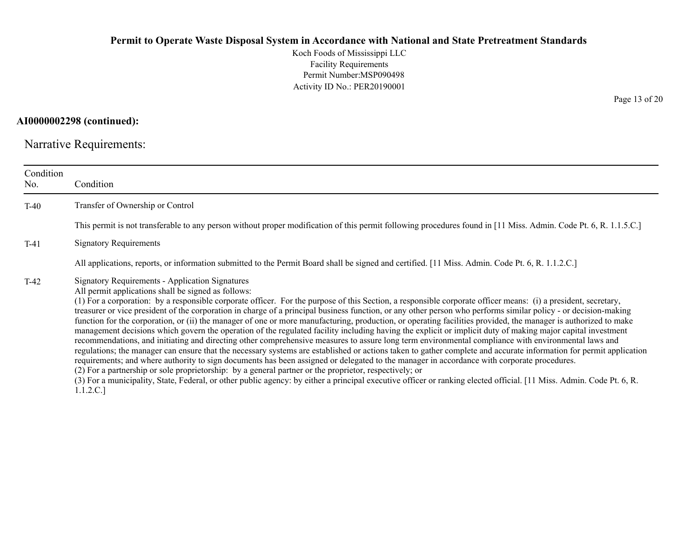Koch Foods of Mississippi LLC Facility Requirements Permit Number:MSP090498 Activity ID No.: PER20190001

**AI0000002298 (continued):**

Narrative Requirements:

| Condition<br>No. | Condition                                                                                                                                                                                                                                                                                                                                                                                                                                                                                                                                                                                                                                                                                                                                                                                                                                                                                                                                                                                                                                                                                                                                                                                                                                                                                                                                                                                                                                                                                                                                                      |
|------------------|----------------------------------------------------------------------------------------------------------------------------------------------------------------------------------------------------------------------------------------------------------------------------------------------------------------------------------------------------------------------------------------------------------------------------------------------------------------------------------------------------------------------------------------------------------------------------------------------------------------------------------------------------------------------------------------------------------------------------------------------------------------------------------------------------------------------------------------------------------------------------------------------------------------------------------------------------------------------------------------------------------------------------------------------------------------------------------------------------------------------------------------------------------------------------------------------------------------------------------------------------------------------------------------------------------------------------------------------------------------------------------------------------------------------------------------------------------------------------------------------------------------------------------------------------------------|
| $T-40$           | Transfer of Ownership or Control                                                                                                                                                                                                                                                                                                                                                                                                                                                                                                                                                                                                                                                                                                                                                                                                                                                                                                                                                                                                                                                                                                                                                                                                                                                                                                                                                                                                                                                                                                                               |
|                  | This permit is not transferable to any person without proper modification of this permit following procedures found in [11 Miss. Admin. Code Pt. 6, R. 1.1.5.C.]                                                                                                                                                                                                                                                                                                                                                                                                                                                                                                                                                                                                                                                                                                                                                                                                                                                                                                                                                                                                                                                                                                                                                                                                                                                                                                                                                                                               |
| $T-41$           | <b>Signatory Requirements</b>                                                                                                                                                                                                                                                                                                                                                                                                                                                                                                                                                                                                                                                                                                                                                                                                                                                                                                                                                                                                                                                                                                                                                                                                                                                                                                                                                                                                                                                                                                                                  |
|                  | All applications, reports, or information submitted to the Permit Board shall be signed and certified. [11 Miss. Admin. Code Pt. 6, R. 1.1.2.C.]                                                                                                                                                                                                                                                                                                                                                                                                                                                                                                                                                                                                                                                                                                                                                                                                                                                                                                                                                                                                                                                                                                                                                                                                                                                                                                                                                                                                               |
| $T-42$           | <b>Signatory Requirements - Application Signatures</b><br>All permit applications shall be signed as follows:<br>(1) For a corporation: by a responsible corporate officer. For the purpose of this Section, a responsible corporate officer means: (i) a president, secretary,<br>treasurer or vice president of the corporation in charge of a principal business function, or any other person who performs similar policy - or decision-making<br>function for the corporation, or (ii) the manager of one or more manufacturing, production, or operating facilities provided, the manager is authorized to make<br>management decisions which govern the operation of the regulated facility including having the explicit or implicit duty of making major capital investment<br>recommendations, and initiating and directing other comprehensive measures to assure long term environmental compliance with environmental laws and<br>regulations; the manager can ensure that the necessary systems are established or actions taken to gather complete and accurate information for permit application<br>requirements; and where authority to sign documents has been assigned or delegated to the manager in accordance with corporate procedures.<br>(2) For a partnership or sole proprietorship: by a general partner or the proprietor, respectively; or<br>(3) For a municipality, State, Federal, or other public agency: by either a principal executive officer or ranking elected official. [11 Miss. Admin. Code Pt. 6, R.<br>1.1.2.C.] |

Page 13 of 20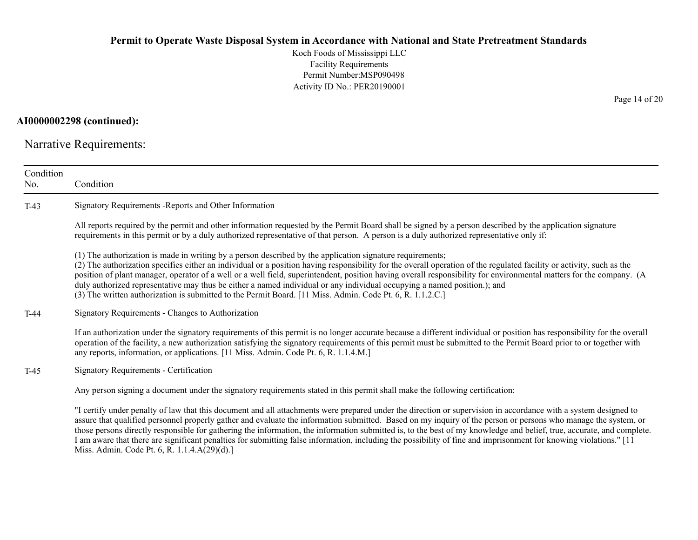Koch Foods of Mississippi LLC Facility Requirements Permit Number:MSP090498 Activity ID No.: PER20190001

#### **AI0000002298 (continued):**

Narrative Requirements:

| Condition<br>No. | Condition                                                                                                                                                                                                                                                                                                                                                                                                                                                                                                                                                                                                                                                                                          |
|------------------|----------------------------------------------------------------------------------------------------------------------------------------------------------------------------------------------------------------------------------------------------------------------------------------------------------------------------------------------------------------------------------------------------------------------------------------------------------------------------------------------------------------------------------------------------------------------------------------------------------------------------------------------------------------------------------------------------|
| $T-43$           | Signatory Requirements - Reports and Other Information                                                                                                                                                                                                                                                                                                                                                                                                                                                                                                                                                                                                                                             |
|                  | All reports required by the permit and other information requested by the Permit Board shall be signed by a person described by the application signature<br>requirements in this permit or by a duly authorized representative of that person. A person is a duly authorized representative only if:                                                                                                                                                                                                                                                                                                                                                                                              |
|                  | (1) The authorization is made in writing by a person described by the application signature requirements;<br>(2) The authorization specifies either an individual or a position having responsibility for the overall operation of the regulated facility or activity, such as the<br>position of plant manager, operator of a well or a well field, superintendent, position having overall responsibility for environmental matters for the company. (A<br>duly authorized representative may thus be either a named individual or any individual occupying a named position.); and<br>(3) The written authorization is submitted to the Permit Board. [11 Miss. Admin. Code Pt. 6, R. 1.1.2.C.] |
| $T-44$           | Signatory Requirements - Changes to Authorization                                                                                                                                                                                                                                                                                                                                                                                                                                                                                                                                                                                                                                                  |
|                  | If an authorization under the signatory requirements of this permit is no longer accurate because a different individual or position has responsibility for the overall<br>operation of the facility, a new authorization satisfying the signatory requirements of this permit must be submitted to the Permit Board prior to or together with<br>any reports, information, or applications. [11 Miss. Admin. Code Pt. 6, R. 1.1.4.M.]                                                                                                                                                                                                                                                             |
| $T-45$           | Signatory Requirements - Certification                                                                                                                                                                                                                                                                                                                                                                                                                                                                                                                                                                                                                                                             |
|                  | Any person signing a document under the signatory requirements stated in this permit shall make the following certification:                                                                                                                                                                                                                                                                                                                                                                                                                                                                                                                                                                       |
|                  | "I certify under penalty of law that this document and all attachments were prepared under the direction or supervision in accordance with a system designed to<br>assure that qualified personnel properly gather and evaluate the information submitted. Based on my inquiry of the person or persons who manage the system, or<br>those persons directly responsible for gathering the information, the information submitted is, to the best of my knowledge and belief, true, accurate, and complete.<br>I am aware that there are significant penalties for submitting false information, including the possibility of fine and imprisonment for knowing violations." [11                    |

Miss. Admin. Code Pt. 6, R. 1.1.4.A(29)(d).]

Page 14 of 20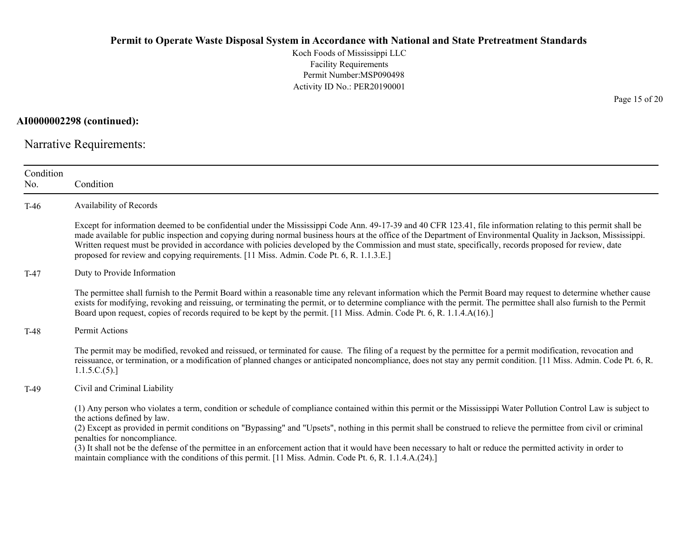Koch Foods of Mississippi LLC Facility Requirements Permit Number:MSP090498 Activity ID No.: PER20190001

**AI0000002298 (continued):**

Narrative Requirements:

| Condition<br>No. | Condition                                                                                                                                                                                                                                                                                                                                                                                                                                                                                                                                                                                                                                                                            |
|------------------|--------------------------------------------------------------------------------------------------------------------------------------------------------------------------------------------------------------------------------------------------------------------------------------------------------------------------------------------------------------------------------------------------------------------------------------------------------------------------------------------------------------------------------------------------------------------------------------------------------------------------------------------------------------------------------------|
| $T-46$           | Availability of Records                                                                                                                                                                                                                                                                                                                                                                                                                                                                                                                                                                                                                                                              |
|                  | Except for information deemed to be confidential under the Mississippi Code Ann. 49-17-39 and 40 CFR 123.41, file information relating to this permit shall be<br>made available for public inspection and copying during normal business hours at the office of the Department of Environmental Quality in Jackson, Mississippi.<br>Written request must be provided in accordance with policies developed by the Commission and must state, specifically, records proposed for review, date<br>proposed for review and copying requirements. [11 Miss. Admin. Code Pt. 6, R. 1.1.3.E.]                                                                                             |
| $T-47$           | Duty to Provide Information                                                                                                                                                                                                                                                                                                                                                                                                                                                                                                                                                                                                                                                          |
|                  | The permittee shall furnish to the Permit Board within a reasonable time any relevant information which the Permit Board may request to determine whether cause<br>exists for modifying, revoking and reissuing, or terminating the permit, or to determine compliance with the permit. The permittee shall also furnish to the Permit<br>Board upon request, copies of records required to be kept by the permit. [11 Miss. Admin. Code Pt. 6, R. 1.1.4.A(16).]                                                                                                                                                                                                                     |
| $T-48$           | Permit Actions                                                                                                                                                                                                                                                                                                                                                                                                                                                                                                                                                                                                                                                                       |
|                  | The permit may be modified, revoked and reissued, or terminated for cause. The filing of a request by the permittee for a permit modification, revocation and<br>reissuance, or termination, or a modification of planned changes or anticipated noncompliance, does not stay any permit condition. [11 Miss. Admin. Code Pt. 6, R.<br>1.1.5.C.(5).                                                                                                                                                                                                                                                                                                                                  |
| $T-49$           | Civil and Criminal Liability                                                                                                                                                                                                                                                                                                                                                                                                                                                                                                                                                                                                                                                         |
|                  | (1) Any person who violates a term, condition or schedule of compliance contained within this permit or the Mississippi Water Pollution Control Law is subject to<br>the actions defined by law.<br>(2) Except as provided in permit conditions on "Bypassing" and "Upsets", nothing in this permit shall be construed to relieve the permittee from civil or criminal<br>penalties for noncompliance.<br>(3) It shall not be the defense of the permittee in an enforcement action that it would have been necessary to halt or reduce the permitted activity in order to<br>maintain compliance with the conditions of this permit. [11 Miss. Admin. Code Pt. 6, R. 1.1.4.A.(24).] |

Page 15 of 20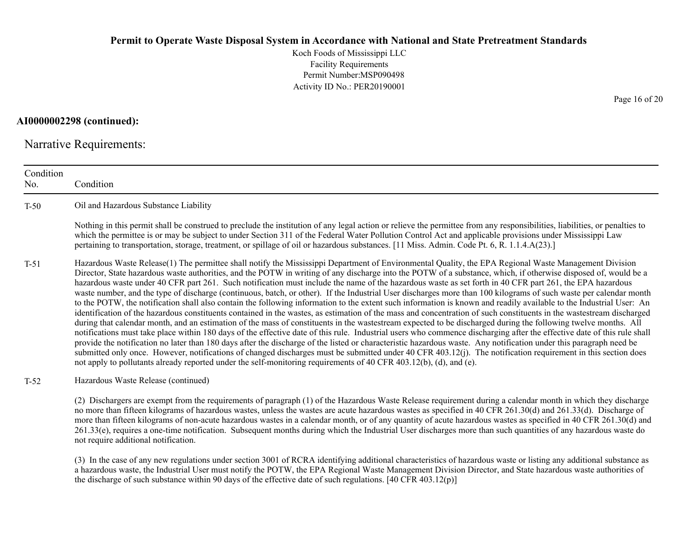Koch Foods of Mississippi LLC Facility Requirements Permit Number:MSP090498Activity ID No.: PER20190001

**AI0000002298 (continued):**

Narrative Requirements:

ConditionNo. ConditionT-50 Oil and Hazardous Substance Liability Nothing in this permit shall be construed to preclude the institution of any legal action or relieve the permittee from any responsibilities, liabilities, or penalties to which the permittee is or may be subject to under Section 311 of the Federal Water Pollution Control Act and applicable provisions under Mississippi Law pertaining to transportation, storage, treatment, or spillage of oil or hazardous substances. [11 Miss. Admin. Code Pt. 6, R. 1.1.4.A(23).] T-51 Hazardous Waste Release(1) The permittee shall notify the Mississippi Department of Environmental Quality, the EPA Regional Waste Management Division Director, State hazardous waste authorities, and the POTW in writing of any discharge into the POTW of a substance, which, if otherwise disposed of, would be a hazardous waste under 40 CFR part 261. Such notification must include the name of the hazardous waste as set forth in 40 CFR part 261, the EPA hazardous waste number, and the type of discharge (continuous, batch, or other). If the Industrial User discharges more than 100 kilograms of such waste per calendar month to the POTW, the notification shall also contain the following information to the extent such information is known and readily available to the Industrial User: An identification of the hazardous constituents contained in the wastes, as estimation of the mass and concentration of such constituents in the wastestream discharged during that calendar month, and an estimation of the mass of constituents in the wastestream expected to be discharged during the following twelve months. All notifications must take place within 180 days of the effective date of this rule. Industrial users who commence discharging after the effective date of this rule shall provide the notification no later than 180 days after the discharge of the listed or characteristic hazardous waste. Any notification under this paragraph need be submitted only once. However, notifications of changed discharges must be submitted under 40 CFR 403.12(j). The notification requirement in this section does not apply to pollutants already reported under the self-monitoring requirements of 40 CFR 403.12(b), (d), and (e). T-52 Hazardous Waste Release (continued) (2) Dischargers are exempt from the requirements of paragraph (1) of the Hazardous Waste Release requirement during a calendar month in which they discharge no more than fifteen kilograms of hazardous wastes, unless the wastes are acute hazardous wastes as specified in 40 CFR 261.30(d) and 261.33(d). Discharge of

more than fifteen kilograms of non-acute hazardous wastes in a calendar month, or of any quantity of acute hazardous wastes as specified in 40 CFR 261.30(d) and 261.33(e), requires a one-time notification. Subsequent months during which the Industrial User discharges more than such quantities of any hazardous waste do not require additional notification.

(3) In the case of any new regulations under section 3001 of RCRA identifying additional characteristics of hazardous waste or listing any additional substance as a hazardous waste, the Industrial User must notify the POTW, the EPA Regional Waste Management Division Director, and State hazardous waste authorities of the discharge of such substance within 90 days of the effective date of such regulations. [40 CFR 403.12(p)]

Page 16 of 20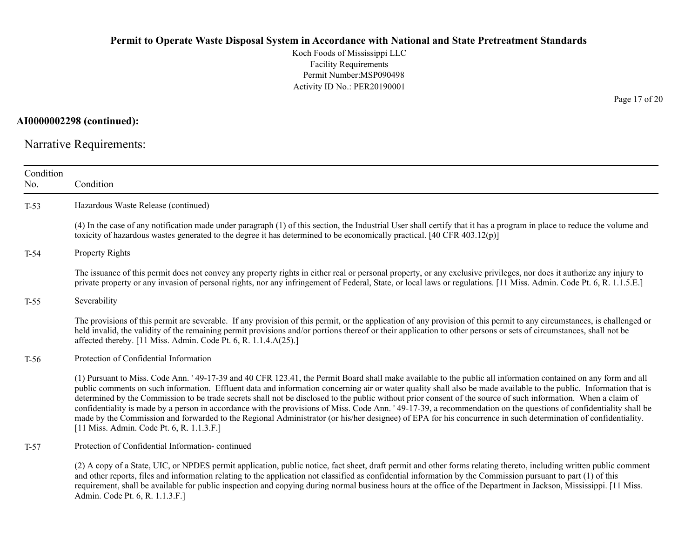Koch Foods of Mississippi LLC Facility Requirements Permit Number:MSP090498 Activity ID No.: PER20190001

**AI0000002298 (continued):**

Narrative Requirements:

| Condition<br>No. | Condition                                                                                                                                                                                                                                                                                                                                                                                                                                                                                                                                                                                                                                                                                                                                                                                                                                                                                 |
|------------------|-------------------------------------------------------------------------------------------------------------------------------------------------------------------------------------------------------------------------------------------------------------------------------------------------------------------------------------------------------------------------------------------------------------------------------------------------------------------------------------------------------------------------------------------------------------------------------------------------------------------------------------------------------------------------------------------------------------------------------------------------------------------------------------------------------------------------------------------------------------------------------------------|
| $T-53$           | Hazardous Waste Release (continued)                                                                                                                                                                                                                                                                                                                                                                                                                                                                                                                                                                                                                                                                                                                                                                                                                                                       |
|                  | (4) In the case of any notification made under paragraph (1) of this section, the Industrial User shall certify that it has a program in place to reduce the volume and<br>toxicity of hazardous wastes generated to the degree it has determined to be economically practical. [40 CFR 403.12(p)]                                                                                                                                                                                                                                                                                                                                                                                                                                                                                                                                                                                        |
| $T-54$           | <b>Property Rights</b>                                                                                                                                                                                                                                                                                                                                                                                                                                                                                                                                                                                                                                                                                                                                                                                                                                                                    |
|                  | The issuance of this permit does not convey any property rights in either real or personal property, or any exclusive privileges, nor does it authorize any injury to<br>private property or any invasion of personal rights, nor any infringement of Federal, State, or local laws or regulations. [11 Miss. Admin. Code Pt. 6, R. 1.1.5.E.]                                                                                                                                                                                                                                                                                                                                                                                                                                                                                                                                             |
| $T-55$           | Severability                                                                                                                                                                                                                                                                                                                                                                                                                                                                                                                                                                                                                                                                                                                                                                                                                                                                              |
|                  | The provisions of this permit are severable. If any provision of this permit, or the application of any provision of this permit to any circumstances, is challenged or<br>held invalid, the validity of the remaining permit provisions and/or portions thereof or their application to other persons or sets of circumstances, shall not be<br>affected thereby. [11 Miss. Admin. Code Pt. 6, R. 1.1.4.A(25).]                                                                                                                                                                                                                                                                                                                                                                                                                                                                          |
| $T-56$           | Protection of Confidential Information                                                                                                                                                                                                                                                                                                                                                                                                                                                                                                                                                                                                                                                                                                                                                                                                                                                    |
|                  | (1) Pursuant to Miss. Code Ann. '49-17-39 and 40 CFR 123.41, the Permit Board shall make available to the public all information contained on any form and all<br>public comments on such information. Effluent data and information concerning air or water quality shall also be made available to the public. Information that is<br>determined by the Commission to be trade secrets shall not be disclosed to the public without prior consent of the source of such information. When a claim of<br>confidentiality is made by a person in accordance with the provisions of Miss. Code Ann. '49-17-39, a recommendation on the questions of confidentiality shall be<br>made by the Commission and forwarded to the Regional Administrator (or his/her designee) of EPA for his concurrence in such determination of confidentiality.<br>[11 Miss. Admin. Code Pt. 6, R. 1.1.3.F.] |
| $T-57$           | Protection of Confidential Information-continued                                                                                                                                                                                                                                                                                                                                                                                                                                                                                                                                                                                                                                                                                                                                                                                                                                          |
|                  | (2) A copy of a State, UIC, or NPDES permit application, public notice, fact sheet, draft permit and other forms relating thereto, including written public comment<br>and other reports, files and information relating to the application not classified as confidential information by the Commission pursuant to part (1) of this<br>requirement, shall be available for public inspection and copying during normal business hours at the office of the Department in Jackson, Mississippi. [11 Miss.]                                                                                                                                                                                                                                                                                                                                                                               |

Admin. Code Pt. 6, R. 1.1.3.F.]

Page 17 of 20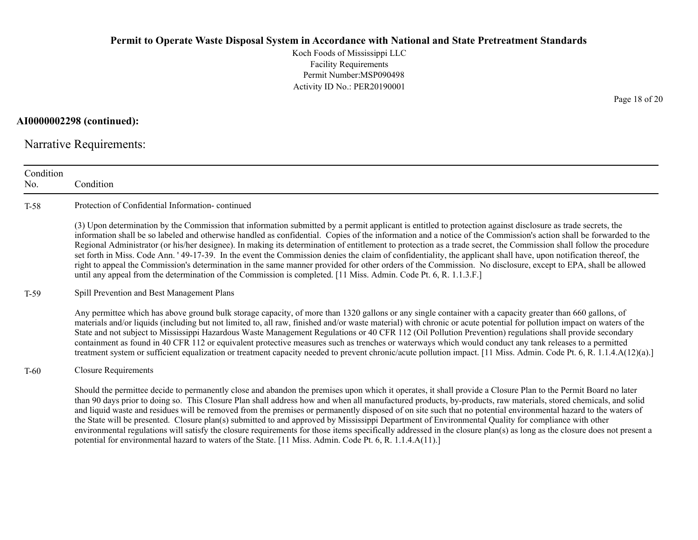Koch Foods of Mississippi LLC Facility Requirements Permit Number:MSP090498 Activity ID No.: PER20190001

**AI0000002298 (continued):**

Narrative Requirements:

| Condition<br>No. | Condition                                                                                                                                                                                                                                                                                                                                                                                                                                                                                                                                                                                                                                                                                                                                                                                                                                                                                                                                                            |
|------------------|----------------------------------------------------------------------------------------------------------------------------------------------------------------------------------------------------------------------------------------------------------------------------------------------------------------------------------------------------------------------------------------------------------------------------------------------------------------------------------------------------------------------------------------------------------------------------------------------------------------------------------------------------------------------------------------------------------------------------------------------------------------------------------------------------------------------------------------------------------------------------------------------------------------------------------------------------------------------|
| $T-58$           | Protection of Confidential Information-continued                                                                                                                                                                                                                                                                                                                                                                                                                                                                                                                                                                                                                                                                                                                                                                                                                                                                                                                     |
|                  | (3) Upon determination by the Commission that information submitted by a permit applicant is entitled to protection against disclosure as trade secrets, the<br>information shall be so labeled and otherwise handled as confidential. Copies of the information and a notice of the Commission's action shall be forwarded to the<br>Regional Administrator (or his/her designee). In making its determination of entitlement to protection as a trade secret, the Commission shall follow the procedure<br>set forth in Miss. Code Ann. '49-17-39. In the event the Commission denies the claim of confidentiality, the applicant shall have, upon notification thereof, the<br>right to appeal the Commission's determination in the same manner provided for other orders of the Commission. No disclosure, except to EPA, shall be allowed<br>until any appeal from the determination of the Commission is completed. [11 Miss. Admin. Code Pt. 6, R. 1.1.3.F.] |
| T-59             | Spill Prevention and Best Management Plans                                                                                                                                                                                                                                                                                                                                                                                                                                                                                                                                                                                                                                                                                                                                                                                                                                                                                                                           |
|                  | Any permittee which has above ground bulk storage capacity, of more than 1320 gallons or any single container with a capacity greater than 660 gallons, of<br>materials and/or liquids (including but not limited to, all raw, finished and/or waste material) with chronic or acute potential for pollution impact on waters of the<br>State and not subject to Mississippi Hazardous Waste Management Regulations or 40 CFR 112 (Oil Pollution Prevention) regulations shall provide secondary<br>containment as found in 40 CFR 112 or equivalent protective measures such as trenches or waterways which would conduct any tank releases to a permitted<br>treatment system or sufficient equalization or treatment capacity needed to prevent chronic/acute pollution impact. [11 Miss. Admin. Code Pt. 6, R. 1.1.4.A(12)(a).]                                                                                                                                  |
| T-60             | <b>Closure Requirements</b>                                                                                                                                                                                                                                                                                                                                                                                                                                                                                                                                                                                                                                                                                                                                                                                                                                                                                                                                          |
|                  | Should the permittee decide to permanently close and abandon the premises upon which it operates, it shall provide a Closure Plan to the Permit Board no later<br>than 90 days prior to doing so. This Closure Plan shall address how and when all manufactured products, by-products, raw materials, stored chemicals, and solid<br>and liquid waste and residues will be removed from the premises or permanently disposed of on site such that no potential environmental hazard to the waters of<br>the State will be presented. Closure plan(s) submitted to and approved by Mississippi Department of Environmental Quality for compliance with other<br>environmental regulations will satisfy the closure requirements for those items specifically addressed in the closure plan(s) as long as the closure does not present a<br>potential for environmental hazard to waters of the State. [11 Miss. Admin. Code Pt. 6, R. 1.1.4.A(11).]                   |

Page 18 of 20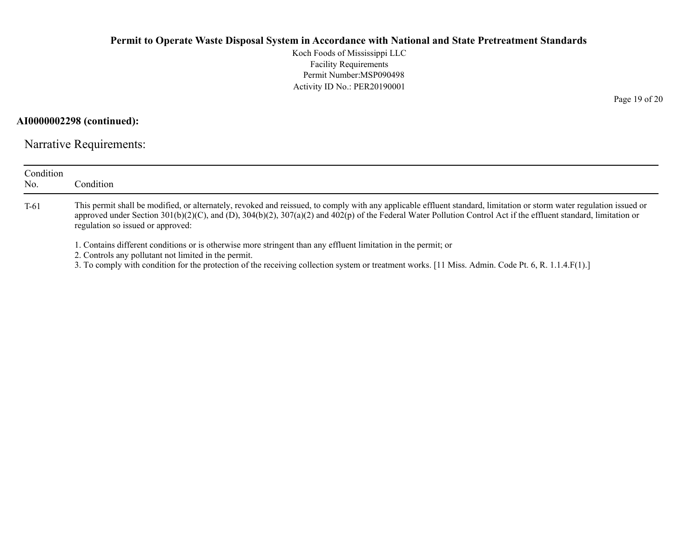Koch Foods of Mississippi LLC Facility Requirements Permit Number:MSP090498 Activity ID No.: PER20190001

**AI0000002298 (continued):**

Narrative Requirements:

| Condition<br>No. | Condition                                                                                                                                                                                                                                                                                                                                                                     |  |  |  |
|------------------|-------------------------------------------------------------------------------------------------------------------------------------------------------------------------------------------------------------------------------------------------------------------------------------------------------------------------------------------------------------------------------|--|--|--|
| $T-61$           | This permit shall be modified, or alternately, revoked and reissued, to comply with any applicable effluent standard, limitation or storm water regulation issued or<br>approved under Section 301(b)(2)(C), and (D), 304(b)(2), 307(a)(2) and 402(p) of the Federal Water Pollution Control Act if the effluent standard, limitation or<br>regulation so issued or approved: |  |  |  |
|                  | 1. Contains different conditions or is otherwise more stringent than any effluent limitation in the permit; or<br>2. Controls any pollutant not limited in the permit.<br>3. To comply with condition for the protection of the receiving collection system or treatment works. [11 Miss. Admin. Code Pt. 6, R. 1.1.4.F(1).]                                                  |  |  |  |

Page 19 of 20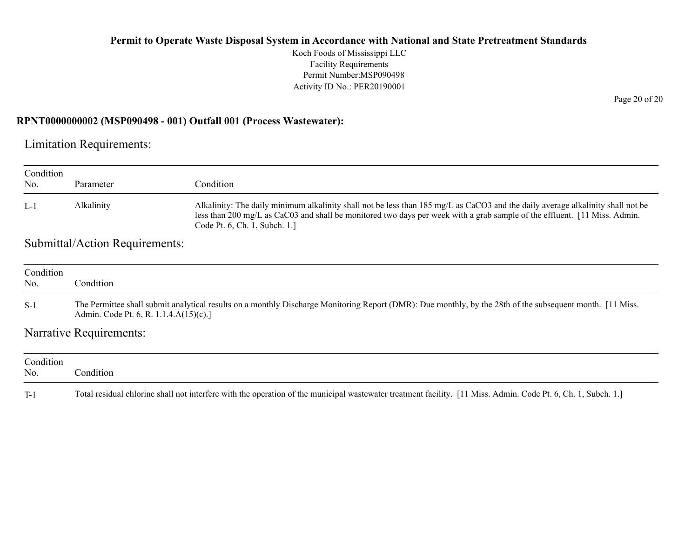Koch Foods of Mississippi LLC Facility Requirements Permit Number:MSP090498 Activity ID No.: PER20190001

#### **RPNT0000000002 (MSP090498 - 001) Outfall 001 (Process Wastewater):**

Limitation Requirements:

| Condition<br>No. | Parameter                                                                                                                                                                                           | Condition                                                                                                                                                                                                                                                                                     |  |  |  |
|------------------|-----------------------------------------------------------------------------------------------------------------------------------------------------------------------------------------------------|-----------------------------------------------------------------------------------------------------------------------------------------------------------------------------------------------------------------------------------------------------------------------------------------------|--|--|--|
| $L-1$            | Alkalinity                                                                                                                                                                                          | Alkalinity: The daily minimum alkalinity shall not be less than 185 mg/L as CaCO3 and the daily average alkalinity shall not be<br>less than 200 mg/L as CaC03 and shall be monitored two days per week with a grab sample of the effluent. [11 Miss. Admin.<br>Code Pt. 6, Ch. 1, Subch. 1.] |  |  |  |
|                  | Submittal/Action Requirements:                                                                                                                                                                      |                                                                                                                                                                                                                                                                                               |  |  |  |
| Condition<br>No. | Condition                                                                                                                                                                                           |                                                                                                                                                                                                                                                                                               |  |  |  |
| $S-1$            | The Permittee shall submit analytical results on a monthly Discharge Monitoring Report (DMR): Due monthly, by the 28th of the subsequent month. [11 Miss.<br>Admin. Code Pt. 6, R. 1.1.4.A(15)(c).] |                                                                                                                                                                                                                                                                                               |  |  |  |
|                  | Narrative Requirements:                                                                                                                                                                             |                                                                                                                                                                                                                                                                                               |  |  |  |
| Condition<br>No. | Condition                                                                                                                                                                                           |                                                                                                                                                                                                                                                                                               |  |  |  |
| $T-1$            |                                                                                                                                                                                                     | Total residual chlorine shall not interfere with the operation of the municipal wastewater treatment facility. [11 Miss. Admin. Code Pt. 6, Ch. 1, Subch. 1.]                                                                                                                                 |  |  |  |

Page 20 of 20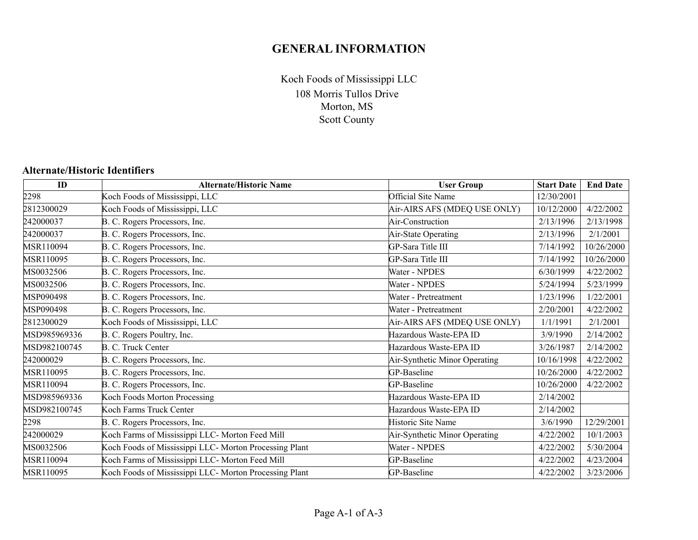# **GENERAL INFORMATION**

108 Morris Tullos Drive Morton, MS Scott County Koch Foods of Mississippi LLC

#### **Alternate/Historic Identifiers**

| ID           | <b>Alternate/Historic Name</b>                         | <b>User Group</b>             | <b>Start Date</b> | <b>End Date</b> |
|--------------|--------------------------------------------------------|-------------------------------|-------------------|-----------------|
| 2298         | Koch Foods of Mississippi, LLC                         | Official Site Name            | 12/30/2001        |                 |
| 2812300029   | Koch Foods of Mississippi, LLC                         | Air-AIRS AFS (MDEQ USE ONLY)  | 10/12/2000        | 4/22/2002       |
| 242000037    | B. C. Rogers Processors, Inc.                          | Air-Construction              | 2/13/1996         | 2/13/1998       |
| 242000037    | B. C. Rogers Processors, Inc.                          | Air-State Operating           | 2/13/1996         | 2/1/2001        |
| MSR110094    | B. C. Rogers Processors, Inc.                          | GP-Sara Title III             | 7/14/1992         | 10/26/2000      |
| MSR110095    | B. C. Rogers Processors, Inc.                          | GP-Sara Title III             | 7/14/1992         | 10/26/2000      |
| MS0032506    | B. C. Rogers Processors, Inc.                          | Water - NPDES                 | 6/30/1999         | 4/22/2002       |
| MS0032506    | B. C. Rogers Processors, Inc.                          | Water - NPDES                 | 5/24/1994         | 5/23/1999       |
| MSP090498    | B. C. Rogers Processors, Inc.                          | Water - Pretreatment          | 1/23/1996         | 1/22/2001       |
| MSP090498    | B. C. Rogers Processors, Inc.                          | Water - Pretreatment          | 2/20/2001         | 4/22/2002       |
| 2812300029   | Koch Foods of Mississippi, LLC                         | Air-AIRS AFS (MDEQ USE ONLY)  | 1/1/1991          | 2/1/2001        |
| MSD985969336 | B. C. Rogers Poultry, Inc.                             | Hazardous Waste-EPA ID        | 3/9/1990          | 2/14/2002       |
| MSD982100745 | B. C. Truck Center                                     | Hazardous Waste-EPA ID        | 3/26/1987         | 2/14/2002       |
| 242000029    | B. C. Rogers Processors, Inc.                          | Air-Synthetic Minor Operating | 10/16/1998        | 4/22/2002       |
| MSR110095    | B. C. Rogers Processors, Inc.                          | GP-Baseline                   | 10/26/2000        | 4/22/2002       |
| MSR110094    | B. C. Rogers Processors, Inc.                          | GP-Baseline                   | 10/26/2000        | 4/22/2002       |
| MSD985969336 | Koch Foods Morton Processing                           | Hazardous Waste-EPA ID        | 2/14/2002         |                 |
| MSD982100745 | Koch Farms Truck Center                                | Hazardous Waste-EPA ID        | 2/14/2002         |                 |
| 2298         | B. C. Rogers Processors, Inc.                          | Historic Site Name            | 3/6/1990          | 12/29/2001      |
| 242000029    | Koch Farms of Mississippi LLC- Morton Feed Mill        | Air-Synthetic Minor Operating | 4/22/2002         | 10/1/2003       |
| MS0032506    | Koch Foods of Mississippi LLC- Morton Processing Plant | Water - NPDES                 | 4/22/2002         | 5/30/2004       |
| MSR110094    | Koch Farms of Mississippi LLC- Morton Feed Mill        | GP-Baseline                   | 4/22/2002         | 4/23/2004       |
| MSR110095    | Koch Foods of Mississippi LLC- Morton Processing Plant | GP-Baseline                   | 4/22/2002         | 3/23/2006       |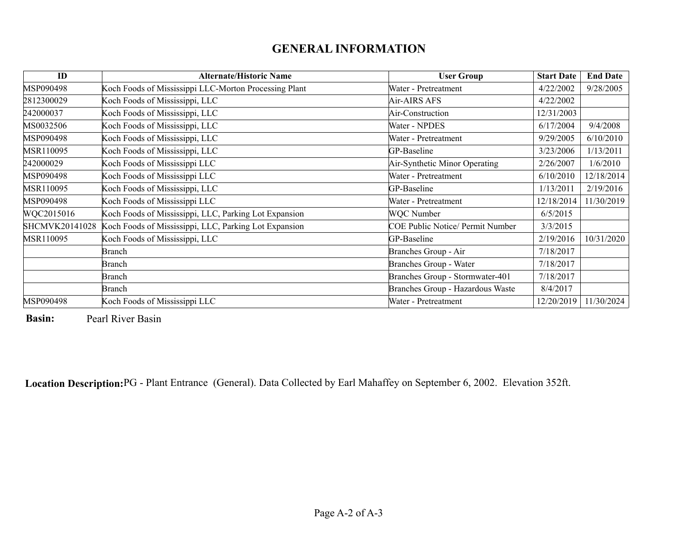# **GENERAL INFORMATION**

| ID             | <b>Alternate/Historic Name</b>                        | <b>User Group</b>                       | <b>Start Date</b> | <b>End Date</b> |
|----------------|-------------------------------------------------------|-----------------------------------------|-------------------|-----------------|
| MSP090498      | Koch Foods of Mississippi LLC-Morton Processing Plant | Water - Pretreatment                    | 4/22/2002         | 9/28/2005       |
| 2812300029     | Koch Foods of Mississippi, LLC                        | Air-AIRS AFS                            | 4/22/2002         |                 |
| 242000037      | Koch Foods of Mississippi, LLC                        | Air-Construction                        | 12/31/2003        |                 |
| MS0032506      | Koch Foods of Mississippi, LLC                        | Water - NPDES                           | 6/17/2004         | 9/4/2008        |
| MSP090498      | Koch Foods of Mississippi, LLC                        | Water - Pretreatment                    | 9/29/2005         | 6/10/2010       |
| MSR110095      | Koch Foods of Mississippi, LLC                        | GP-Baseline                             | 3/23/2006         | 1/13/2011       |
| 242000029      | Koch Foods of Mississippi LLC                         | Air-Synthetic Minor Operating           | 2/26/2007         | 1/6/2010        |
| MSP090498      | Koch Foods of Mississippi LLC                         | Water - Pretreatment                    | 6/10/2010         | 12/18/2014      |
| MSR110095      | Koch Foods of Mississippi, LLC                        | GP-Baseline                             | 1/13/2011         | 2/19/2016       |
| MSP090498      | Koch Foods of Mississippi LLC                         | Water - Pretreatment                    | 12/18/2014        | 11/30/2019      |
| WQC2015016     | Koch Foods of Mississippi, LLC, Parking Lot Expansion | WQC Number                              | 6/5/2015          |                 |
| SHCMVK20141028 | Koch Foods of Mississippi, LLC, Parking Lot Expansion | <b>COE Public Notice/ Permit Number</b> | 3/3/2015          |                 |
| MSR110095      | Koch Foods of Mississippi, LLC                        | GP-Baseline                             | 2/19/2016         | 10/31/2020      |
|                | Branch                                                | Branches Group - Air                    | 7/18/2017         |                 |
|                | Branch                                                | Branches Group - Water                  | 7/18/2017         |                 |
|                | Branch                                                | Branches Group - Stormwater-401         | 7/18/2017         |                 |
|                | Branch                                                | Branches Group - Hazardous Waste        | 8/4/2017          |                 |
| MSP090498      | Koch Foods of Mississippi LLC                         | Water - Pretreatment                    | 12/20/2019        | 11/30/2024      |

**Basin:**Pearl River Basin

**Location Description:**PG - Plant Entrance (General). Data Collected by Earl Mahaffey on September 6, 2002. Elevation 352ft.